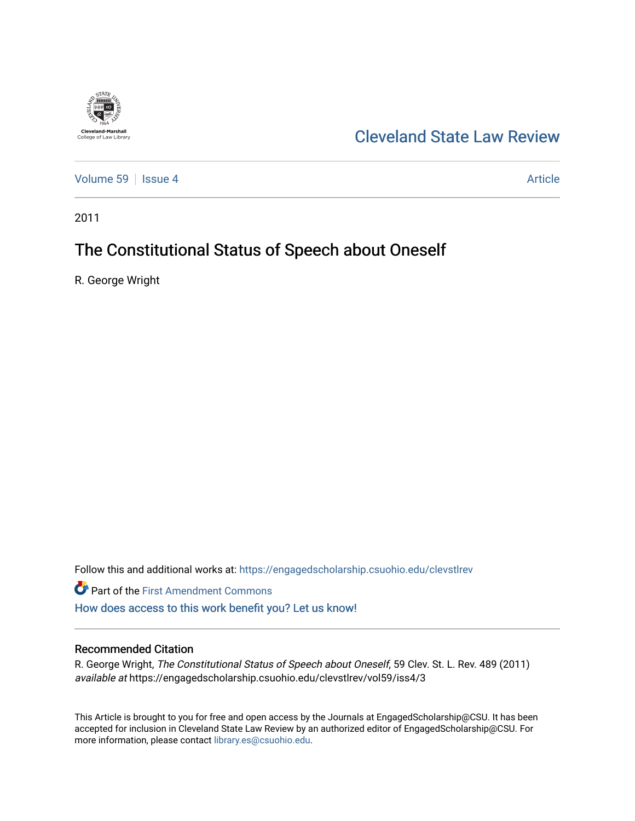

## [Cleveland State Law Review](https://engagedscholarship.csuohio.edu/clevstlrev)

[Volume 59](https://engagedscholarship.csuohio.edu/clevstlrev/vol59) Session 4 [Article](https://engagedscholarship.csuohio.edu/clevstlrev/vol59/iss4/3) 30 Article

2011

# The Constitutional Status of Speech about Oneself

R. George Wright

Follow this and additional works at: [https://engagedscholarship.csuohio.edu/clevstlrev](https://engagedscholarship.csuohio.edu/clevstlrev?utm_source=engagedscholarship.csuohio.edu%2Fclevstlrev%2Fvol59%2Fiss4%2F3&utm_medium=PDF&utm_campaign=PDFCoverPages)

Part of the [First Amendment Commons](http://network.bepress.com/hgg/discipline/1115?utm_source=engagedscholarship.csuohio.edu%2Fclevstlrev%2Fvol59%2Fiss4%2F3&utm_medium=PDF&utm_campaign=PDFCoverPages)  [How does access to this work benefit you? Let us know!](http://library.csuohio.edu/engaged/)

### Recommended Citation

R. George Wright, The Constitutional Status of Speech about Oneself, 59 Clev. St. L. Rev. 489 (2011) available at https://engagedscholarship.csuohio.edu/clevstlrev/vol59/iss4/3

This Article is brought to you for free and open access by the Journals at EngagedScholarship@CSU. It has been accepted for inclusion in Cleveland State Law Review by an authorized editor of EngagedScholarship@CSU. For more information, please contact [library.es@csuohio.edu](mailto:library.es@csuohio.edu).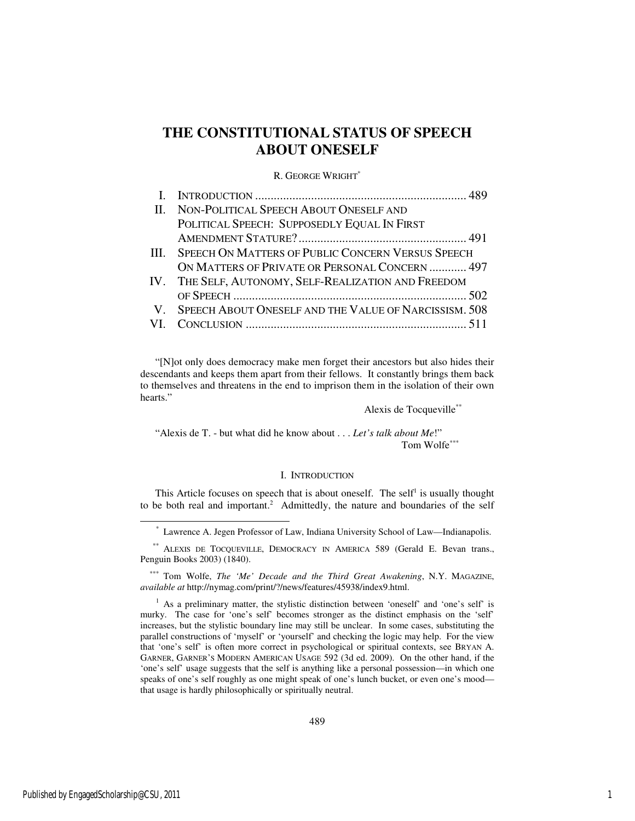### **THE CONSTITUTIONAL STATUS OF SPEECH ABOUT ONESELF**

#### R. GEORGE WRIGHT\*

| II. NON-POLITICAL SPEECH ABOUT ONESELF AND               |
|----------------------------------------------------------|
| POLITICAL SPEECH: SUPPOSEDLY EQUAL IN FIRST              |
|                                                          |
| III. SPEECH ON MATTERS OF PUBLIC CONCERN VERSUS SPEECH   |
| ON MATTERS OF PRIVATE OR PERSONAL CONCERN  497           |
| IV. THE SELF, AUTONOMY, SELF-REALIZATION AND FREEDOM     |
|                                                          |
| V. SPEECH ABOUT ONESELF AND THE VALUE OF NARCISSISM. 508 |
|                                                          |

"[N]ot only does democracy make men forget their ancestors but also hides their descendants and keeps them apart from their fellows. It constantly brings them back to themselves and threatens in the end to imprison them in the isolation of their own hearts."

Alexis de Tocqueville\*\*

"Alexis de T. - but what did he know about . . . *Let's talk about Me*!" Tom Wolfe\*\*\*

#### I. INTRODUCTION

This Article focuses on speech that is about oneself. The self<sup>1</sup> is usually thought to be both real and important.<sup>2</sup> Admittedly, the nature and boundaries of the self

\* Lawrence A. Jegen Professor of Law, Indiana University School of Law—Indianapolis.

j

 <sup>\*\*</sup> ALEXIS DE TOCQUEVILLE, DEMOCRACY IN AMERICA 589 (Gerald E. Bevan trans., Penguin Books 2003) (1840).

 <sup>\*\*\*</sup> Tom Wolfe, *The 'Me' Decade and the Third Great Awakening*, N.Y. MAGAZINE, *available at* http://nymag.com/print/?/news/features/45938/index9.html.

<sup>&</sup>lt;sup>1</sup> As a preliminary matter, the stylistic distinction between 'oneself' and 'one's self' is murky. The case for 'one's self' becomes stronger as the distinct emphasis on the 'self' increases, but the stylistic boundary line may still be unclear. In some cases, substituting the parallel constructions of 'myself' or 'yourself' and checking the logic may help. For the view that 'one's self' is often more correct in psychological or spiritual contexts, see BRYAN A. GARNER, GARNER'S MODERN AMERICAN USAGE 592 (3d ed. 2009). On the other hand, if the 'one's self' usage suggests that the self is anything like a personal possession—in which one speaks of one's self roughly as one might speak of one's lunch bucket, or even one's mood that usage is hardly philosophically or spiritually neutral.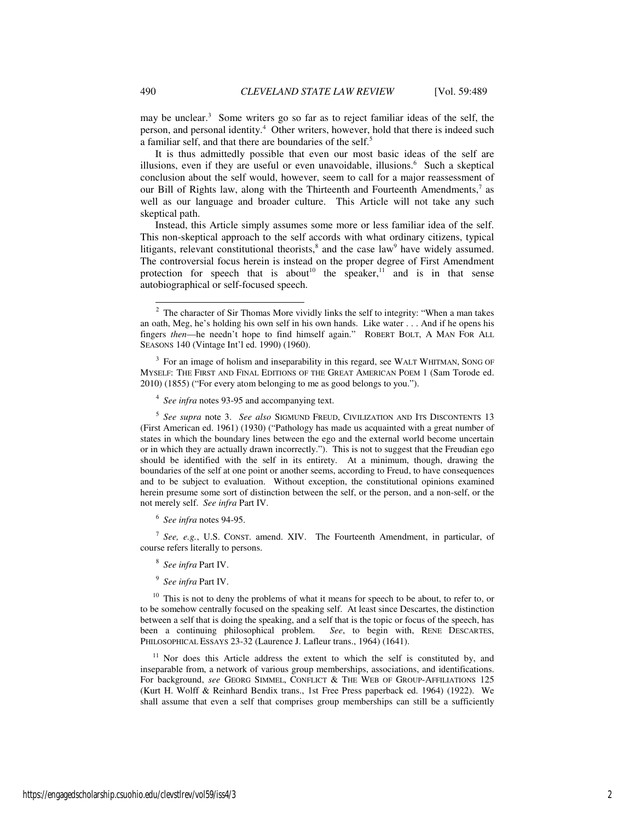may be unclear.<sup>3</sup> Some writers go so far as to reject familiar ideas of the self, the person, and personal identity.<sup>4</sup> Other writers, however, hold that there is indeed such a familiar self, and that there are boundaries of the self.<sup>5</sup>

It is thus admittedly possible that even our most basic ideas of the self are illusions, even if they are useful or even unavoidable, illusions.<sup>6</sup> Such a skeptical conclusion about the self would, however, seem to call for a major reassessment of our Bill of Rights law, along with the Thirteenth and Fourteenth Amendments,<sup>7</sup> as well as our language and broader culture. This Article will not take any such skeptical path.

Instead, this Article simply assumes some more or less familiar idea of the self. This non-skeptical approach to the self accords with what ordinary citizens, typical litigants, relevant constitutional theorists, $\delta$  and the case law<sup>9</sup> have widely assumed. The controversial focus herein is instead on the proper degree of First Amendment protection for speech that is about<sup>10</sup> the speaker,<sup>11</sup> and is in that sense autobiographical or self-focused speech.

<sup>4</sup> See infra notes 93-95 and accompanying text.

5 *See supra* note 3. *See also* SIGMUND FREUD, CIVILIZATION AND ITS DISCONTENTS 13 (First American ed. 1961) (1930) ("Pathology has made us acquainted with a great number of states in which the boundary lines between the ego and the external world become uncertain or in which they are actually drawn incorrectly."). This is not to suggest that the Freudian ego should be identified with the self in its entirety. At a minimum, though, drawing the boundaries of the self at one point or another seems, according to Freud, to have consequences and to be subject to evaluation. Without exception, the constitutional opinions examined herein presume some sort of distinction between the self, or the person, and a non-self, or the not merely self. *See infra* Part IV.

6 *See infra* notes 94-95.

7 *See, e.g.*, U.S. CONST. amend. XIV. The Fourteenth Amendment, in particular, of course refers literally to persons.

8 *See infra* Part IV.

9 *See infra* Part IV.

 $10$  This is not to deny the problems of what it means for speech to be about, to refer to, or to be somehow centrally focused on the speaking self. At least since Descartes, the distinction between a self that is doing the speaking, and a self that is the topic or focus of the speech, has been a continuing philosophical problem. *See*, to begin with, RENE DESCARTES, PHILOSOPHICAL ESSAYS 23-32 (Laurence J. Lafleur trans., 1964) (1641).

Nor does this Article address the extent to which the self is constituted by, and inseparable from, a network of various group memberships, associations, and identifications. For background, *see* GEORG SIMMEL, CONFLICT & THE WEB OF GROUP-AFFILIATIONS 125 (Kurt H. Wolff & Reinhard Bendix trans., 1st Free Press paperback ed. 1964) (1922). We shall assume that even a self that comprises group memberships can still be a sufficiently

 $2$  The character of Sir Thomas More vividly links the self to integrity: "When a man takes an oath, Meg, he's holding his own self in his own hands. Like water . . . And if he opens his fingers *then*—he needn't hope to find himself again." ROBERT BOLT, A MAN FOR ALL SEASONS 140 (Vintage Int'l ed. 1990) (1960).

<sup>&</sup>lt;sup>3</sup> For an image of holism and inseparability in this regard, see WALT WHITMAN, SONG OF MYSELF: THE FIRST AND FINAL EDITIONS OF THE GREAT AMERICAN POEM 1 (Sam Torode ed. 2010) (1855) ("For every atom belonging to me as good belongs to you.").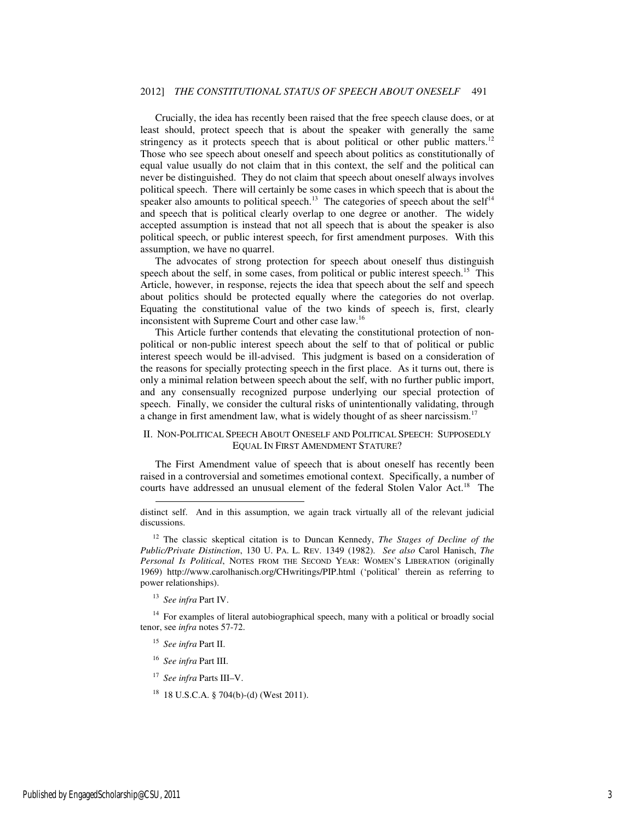Crucially, the idea has recently been raised that the free speech clause does, or at least should, protect speech that is about the speaker with generally the same stringency as it protects speech that is about political or other public matters.<sup>12</sup> Those who see speech about oneself and speech about politics as constitutionally of equal value usually do not claim that in this context, the self and the political can never be distinguished. They do not claim that speech about oneself always involves political speech. There will certainly be some cases in which speech that is about the speaker also amounts to political speech.<sup>13</sup> The categories of speech about the self<sup>14</sup> and speech that is political clearly overlap to one degree or another. The widely accepted assumption is instead that not all speech that is about the speaker is also political speech, or public interest speech, for first amendment purposes. With this assumption, we have no quarrel.

The advocates of strong protection for speech about oneself thus distinguish speech about the self, in some cases, from political or public interest speech.<sup>15</sup> This Article, however, in response, rejects the idea that speech about the self and speech about politics should be protected equally where the categories do not overlap. Equating the constitutional value of the two kinds of speech is, first, clearly inconsistent with Supreme Court and other case law.<sup>16</sup>

This Article further contends that elevating the constitutional protection of nonpolitical or non-public interest speech about the self to that of political or public interest speech would be ill-advised. This judgment is based on a consideration of the reasons for specially protecting speech in the first place. As it turns out, there is only a minimal relation between speech about the self, with no further public import, and any consensually recognized purpose underlying our special protection of speech. Finally, we consider the cultural risks of unintentionally validating, through a change in first amendment law, what is widely thought of as sheer narcissism.<sup>17</sup>

#### II. NON-POLITICAL SPEECH ABOUT ONESELF AND POLITICAL SPEECH: SUPPOSEDLY EQUAL IN FIRST AMENDMENT STATURE?

The First Amendment value of speech that is about oneself has recently been raised in a controversial and sometimes emotional context. Specifically, a number of courts have addressed an unusual element of the federal Stolen Valor Act.<sup>18</sup> The

<sup>13</sup> *See infra* Part IV.

-

<sup>14</sup> For examples of literal autobiographical speech, many with a political or broadly social tenor, see *infra* notes 57-72.

- <sup>15</sup> *See infra* Part II.
- <sup>16</sup> *See infra* Part III.
- <sup>17</sup> *See infra* Parts III–V.
- <sup>18</sup> 18 U.S.C.A. § 704(b)-(d) (West 2011).

distinct self. And in this assumption, we again track virtually all of the relevant judicial discussions.

<sup>12</sup> The classic skeptical citation is to Duncan Kennedy, *The Stages of Decline of the Public/Private Distinction*, 130 U. PA. L. REV. 1349 (1982). *See also* Carol Hanisch, *The Personal Is Political*, NOTES FROM THE SECOND YEAR: WOMEN'S LIBERATION (originally 1969) http://www.carolhanisch.org/CHwritings/PIP.html ('political' therein as referring to power relationships).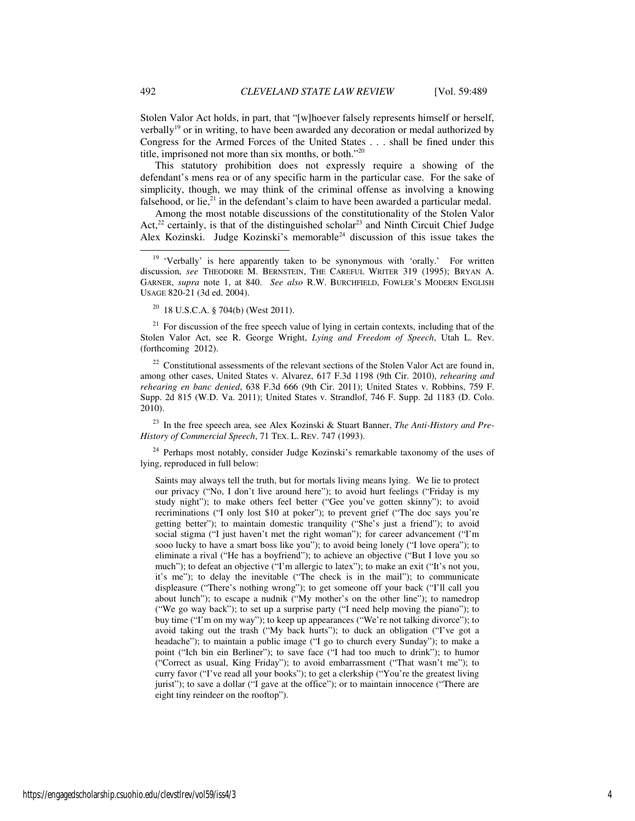Stolen Valor Act holds, in part, that "[w]hoever falsely represents himself or herself, verbally<sup>19</sup> or in writing, to have been awarded any decoration or medal authorized by Congress for the Armed Forces of the United States . . . shall be fined under this title, imprisoned not more than six months, or both."<sup>20</sup>

This statutory prohibition does not expressly require a showing of the defendant's mens rea or of any specific harm in the particular case. For the sake of simplicity, though, we may think of the criminal offense as involving a knowing falsehood, or lie, $^{21}$  in the defendant's claim to have been awarded a particular medal.

Among the most notable discussions of the constitutionality of the Stolen Valor Act, $22$  certainly, is that of the distinguished scholar<sup>23</sup> and Ninth Circuit Chief Judge Alex Kozinski. Judge Kozinski's memorable<sup>24</sup> discussion of this issue takes the

<sup>20</sup> 18 U.S.C.A. § 704(b) (West 2011).

 $21$  For discussion of the free speech value of lying in certain contexts, including that of the Stolen Valor Act, see R. George Wright, *Lying and Freedom of Speech*, Utah L. Rev. (forthcoming 2012).

 $22$  Constitutional assessments of the relevant sections of the Stolen Valor Act are found in, among other cases, United States v. Alvarez, 617 F.3d 1198 (9th Cir. 2010), *rehearing and rehearing en banc denied*, 638 F.3d 666 (9th Cir. 2011); United States v. Robbins, 759 F. Supp. 2d 815 (W.D. Va. 2011); United States v. Strandlof, 746 F. Supp. 2d 1183 (D. Colo. 2010).

<sup>23</sup> In the free speech area, see Alex Kozinski & Stuart Banner, *The Anti-History and Pre-History of Commercial Speech*, 71 TEX. L. REV. 747 (1993).

 $24$  Perhaps most notably, consider Judge Kozinski's remarkable taxonomy of the uses of lying, reproduced in full below:

Saints may always tell the truth, but for mortals living means lying. We lie to protect our privacy ("No, I don't live around here"); to avoid hurt feelings ("Friday is my study night"); to make others feel better ("Gee you've gotten skinny"); to avoid recriminations ("I only lost \$10 at poker"); to prevent grief ("The doc says you're getting better"); to maintain domestic tranquility ("She's just a friend"); to avoid social stigma ("I just haven't met the right woman"); for career advancement ("I'm sooo lucky to have a smart boss like you"); to avoid being lonely ("I love opera"); to eliminate a rival ("He has a boyfriend"); to achieve an objective ("But I love you so much"); to defeat an objective ("I'm allergic to latex"); to make an exit ("It's not you, it's me"); to delay the inevitable ("The check is in the mail"); to communicate displeasure ("There's nothing wrong"); to get someone off your back ("I'll call you about lunch"); to escape a nudnik ("My mother's on the other line"); to namedrop ("We go way back"); to set up a surprise party ("I need help moving the piano"); to buy time ("I'm on my way"); to keep up appearances ("We're not talking divorce"); to avoid taking out the trash ("My back hurts"); to duck an obligation ("I've got a headache"); to maintain a public image ("I go to church every Sunday"); to make a point ("Ich bin ein Berliner"); to save face ("I had too much to drink"); to humor ("Correct as usual, King Friday"); to avoid embarrassment ("That wasn't me"); to curry favor ("I've read all your books"); to get a clerkship ("You're the greatest living jurist"); to save a dollar ("I gave at the office"); or to maintain innocence ("There are eight tiny reindeer on the rooftop").

j

<sup>&</sup>lt;sup>19</sup> 'Verbally' is here apparently taken to be synonymous with 'orally.' For written discussion, *see* THEODORE M. BERNSTEIN, THE CAREFUL WRITER 319 (1995); BRYAN A. GARNER, *supra* note 1, at 840. *See also* R.W. BURCHFIELD, FOWLER'S MODERN ENGLISH USAGE 820-21 (3d ed. 2004).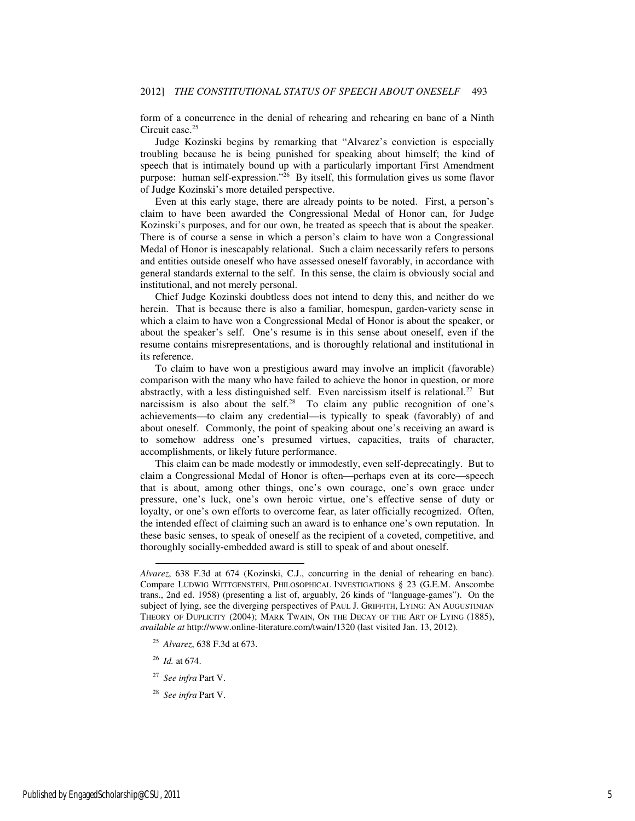form of a concurrence in the denial of rehearing and rehearing en banc of a Ninth Circuit case.<sup>25</sup>

Judge Kozinski begins by remarking that "Alvarez's conviction is especially troubling because he is being punished for speaking about himself; the kind of speech that is intimately bound up with a particularly important First Amendment purpose: human self-expression."<sup>26</sup> By itself, this formulation gives us some flavor of Judge Kozinski's more detailed perspective.

Even at this early stage, there are already points to be noted. First, a person's claim to have been awarded the Congressional Medal of Honor can, for Judge Kozinski's purposes, and for our own, be treated as speech that is about the speaker. There is of course a sense in which a person's claim to have won a Congressional Medal of Honor is inescapably relational. Such a claim necessarily refers to persons and entities outside oneself who have assessed oneself favorably, in accordance with general standards external to the self. In this sense, the claim is obviously social and institutional, and not merely personal.

Chief Judge Kozinski doubtless does not intend to deny this, and neither do we herein. That is because there is also a familiar, homespun, garden-variety sense in which a claim to have won a Congressional Medal of Honor is about the speaker, or about the speaker's self. One's resume is in this sense about oneself, even if the resume contains misrepresentations, and is thoroughly relational and institutional in its reference.

To claim to have won a prestigious award may involve an implicit (favorable) comparison with the many who have failed to achieve the honor in question, or more abstractly, with a less distinguished self. Even narcissism itself is relational.<sup>27</sup> But narcissism is also about the self.<sup>28</sup> To claim any public recognition of one's achievements—to claim any credential—is typically to speak (favorably) of and about oneself. Commonly, the point of speaking about one's receiving an award is to somehow address one's presumed virtues, capacities, traits of character, accomplishments, or likely future performance.

This claim can be made modestly or immodestly, even self-deprecatingly. But to claim a Congressional Medal of Honor is often—perhaps even at its core—speech that is about, among other things, one's own courage, one's own grace under pressure, one's luck, one's own heroic virtue, one's effective sense of duty or loyalty, or one's own efforts to overcome fear, as later officially recognized. Often, the intended effect of claiming such an award is to enhance one's own reputation. In these basic senses, to speak of oneself as the recipient of a coveted, competitive, and thoroughly socially-embedded award is still to speak of and about oneself.

<sup>26</sup> *Id.* at 674.

-

<sup>27</sup> *See infra* Part V.

*Alvarez*, 638 F.3d at 674 (Kozinski, C.J., concurring in the denial of rehearing en banc). Compare LUDWIG WITTGENSTEIN, PHILOSOPHICAL INVESTIGATIONS § 23 (G.E.M. Anscombe trans., 2nd ed. 1958) (presenting a list of, arguably, 26 kinds of "language-games"). On the subject of lying, see the diverging perspectives of PAUL J. GRIFFITH, LYING: AN AUGUSTINIAN THEORY OF DUPLICITY (2004); MARK TWAIN, ON THE DECAY OF THE ART OF LYING (1885), *available at* http://www.online-literature.com/twain/1320 (last visited Jan. 13, 2012).

<sup>25</sup> *Alvarez*, 638 F.3d at 673.

<sup>28</sup> *See infra* Part V.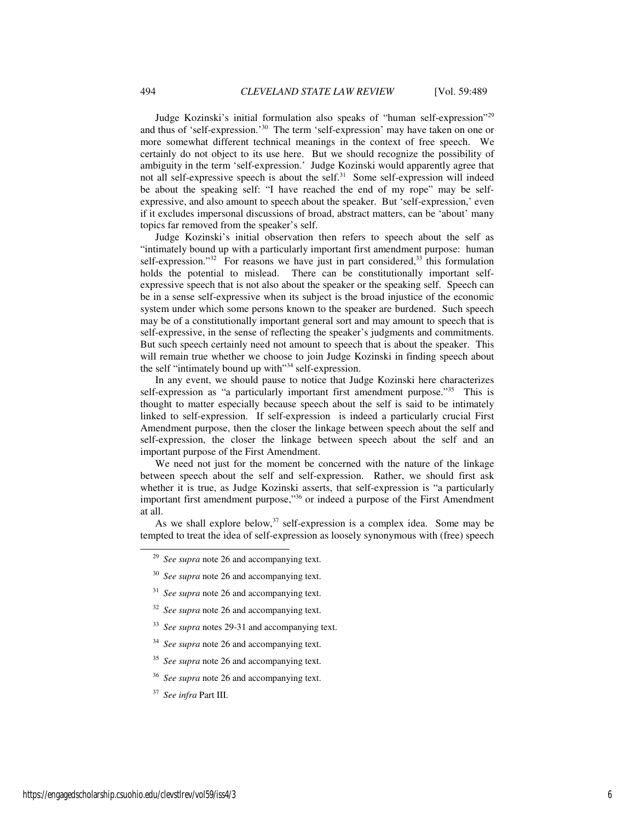Judge Kozinski's initial formulation also speaks of "human self-expression"<sup>29</sup> and thus of 'self-expression.'<sup>30</sup> The term 'self-expression' may have taken on one or more somewhat different technical meanings in the context of free speech. We certainly do not object to its use here. But we should recognize the possibility of ambiguity in the term 'self-expression.' Judge Kozinski would apparently agree that not all self-expressive speech is about the self.<sup>31</sup> Some self-expression will indeed be about the speaking self: "I have reached the end of my rope" may be selfexpressive, and also amount to speech about the speaker. But 'self-expression,' even if it excludes impersonal discussions of broad, abstract matters, can be 'about' many topics far removed from the speaker's self.

Judge Kozinski's initial observation then refers to speech about the self as "intimately bound up with a particularly important first amendment purpose: human self-expression." $32$  For reasons we have just in part considered, $33$  this formulation holds the potential to mislead. There can be constitutionally important selfexpressive speech that is not also about the speaker or the speaking self. Speech can be in a sense self-expressive when its subject is the broad injustice of the economic system under which some persons known to the speaker are burdened. Such speech may be of a constitutionally important general sort and may amount to speech that is self-expressive, in the sense of reflecting the speaker's judgments and commitments. But such speech certainly need not amount to speech that is about the speaker. This will remain true whether we choose to join Judge Kozinski in finding speech about the self "intimately bound up with"<sup>34</sup> self-expression.

In any event, we should pause to notice that Judge Kozinski here characterizes self-expression as "a particularly important first amendment purpose."<sup>35</sup> This is thought to matter especially because speech about the self is said to be intimately linked to self-expression. If self-expression is indeed a particularly crucial First Amendment purpose, then the closer the linkage between speech about the self and self-expression, the closer the linkage between speech about the self and an important purpose of the First Amendment.

We need not just for the moment be concerned with the nature of the linkage between speech about the self and self-expression. Rather, we should first ask whether it is true, as Judge Kozinski asserts, that self-expression is "a particularly important first amendment purpose,"<sup>36</sup> or indeed a purpose of the First Amendment at all.

As we shall explore below,  $37$  self-expression is a complex idea. Some may be tempted to treat the idea of self-expression as loosely synonymous with (free) speech

<sup>29</sup> *See supra* note 26 and accompanying text.

<sup>&</sup>lt;sup>30</sup> *See supra* note 26 and accompanying text.

<sup>&</sup>lt;sup>31</sup> *See supra* note 26 and accompanying text.

<sup>&</sup>lt;sup>32</sup> *See supra* note 26 and accompanying text.

<sup>33</sup> *See supra* notes 29-31 and accompanying text.

<sup>&</sup>lt;sup>34</sup> *See supra* note 26 and accompanying text.

<sup>&</sup>lt;sup>35</sup> *See supra* note 26 and accompanying text.

<sup>&</sup>lt;sup>36</sup> *See supra* note 26 and accompanying text.

<sup>37</sup> *See infra* Part III.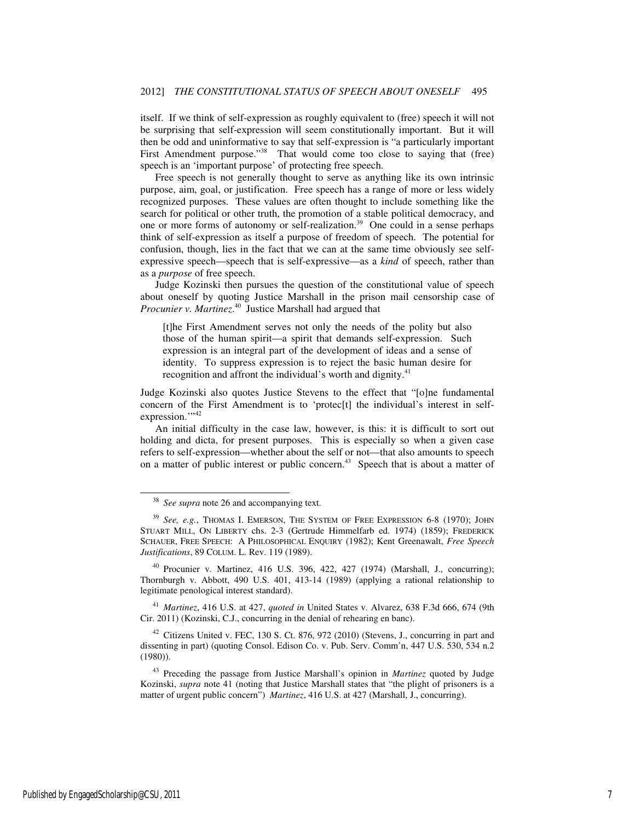itself. If we think of self-expression as roughly equivalent to (free) speech it will not be surprising that self-expression will seem constitutionally important. But it will then be odd and uninformative to say that self-expression is "a particularly important First Amendment purpose."<sup>38</sup> That would come too close to saying that (free) speech is an 'important purpose' of protecting free speech.

Free speech is not generally thought to serve as anything like its own intrinsic purpose, aim, goal, or justification. Free speech has a range of more or less widely recognized purposes. These values are often thought to include something like the search for political or other truth, the promotion of a stable political democracy, and one or more forms of autonomy or self-realization.<sup>39</sup> One could in a sense perhaps think of self-expression as itself a purpose of freedom of speech. The potential for confusion, though, lies in the fact that we can at the same time obviously see selfexpressive speech—speech that is self-expressive—as a *kind* of speech, rather than as a *purpose* of free speech.

Judge Kozinski then pursues the question of the constitutional value of speech about oneself by quoting Justice Marshall in the prison mail censorship case of *Procunier v. Martinez*. <sup>40</sup> Justice Marshall had argued that

[t]he First Amendment serves not only the needs of the polity but also those of the human spirit—a spirit that demands self-expression. Such expression is an integral part of the development of ideas and a sense of identity. To suppress expression is to reject the basic human desire for recognition and affront the individual's worth and dignity. $41$ 

Judge Kozinski also quotes Justice Stevens to the effect that "[o]ne fundamental concern of the First Amendment is to 'protec[t] the individual's interest in selfexpression."<sup>42</sup>

 An initial difficulty in the case law, however, is this: it is difficult to sort out holding and dicta, for present purposes. This is especially so when a given case refers to self-expression—whether about the self or not—that also amounts to speech on a matter of public interest or public concern.<sup>43</sup> Speech that is about a matter of

l

<sup>40</sup> Procunier v. Martinez, 416 U.S. 396, 422, 427 (1974) (Marshall, J., concurring); Thornburgh v. Abbott, 490 U.S. 401, 413-14 (1989) (applying a rational relationship to legitimate penological interest standard).

<sup>41</sup> *Martinez*, 416 U.S. at 427, *quoted in* United States v. Alvarez, 638 F.3d 666, 674 (9th Cir. 2011) (Kozinski, C.J., concurring in the denial of rehearing en banc).

 $42$  Citizens United v. FEC, 130 S. Ct. 876, 972 (2010) (Stevens, J., concurring in part and dissenting in part) (quoting Consol. Edison Co. v. Pub. Serv. Comm'n, 447 U.S. 530, 534 n.2 (1980)).

<sup>38</sup> *See supra* note 26 and accompanying text.

<sup>39</sup> *See, e.g.*, THOMAS I. EMERSON, THE SYSTEM OF FREE EXPRESSION 6-8 (1970); JOHN STUART MILL, ON LIBERTY chs. 2-3 (Gertrude Himmelfarb ed. 1974) (1859); FREDERICK SCHAUER, FREE SPEECH: A PHILOSOPHICAL ENQUIRY (1982); Kent Greenawalt, *Free Speech Justifications*, 89 COLUM. L. Rev. 119 (1989).

<sup>43</sup> Preceding the passage from Justice Marshall's opinion in *Martinez* quoted by Judge Kozinski, *supra* note 41 (noting that Justice Marshall states that "the plight of prisoners is a matter of urgent public concern") *Martinez*, 416 U.S. at 427 (Marshall, J., concurring).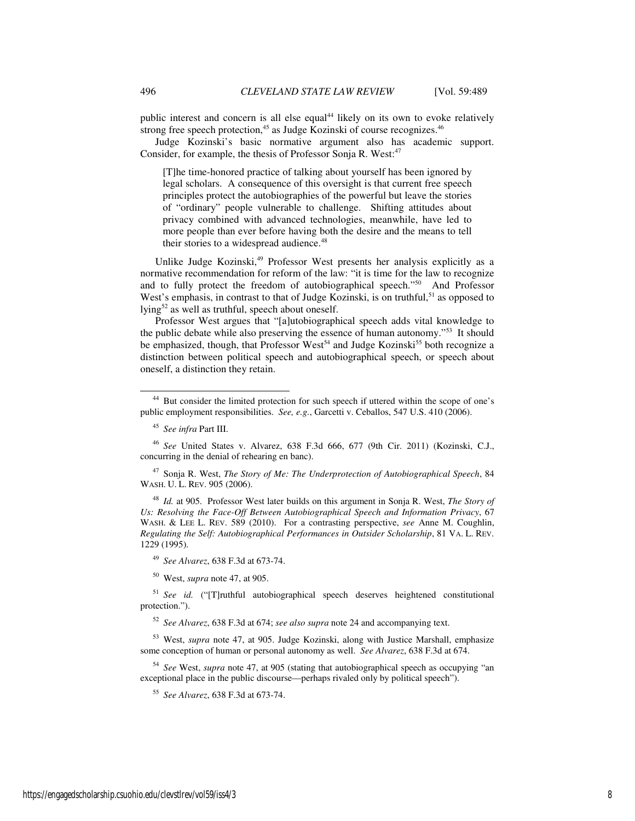public interest and concern is all else equal<sup>44</sup> likely on its own to evoke relatively strong free speech protection,<sup>45</sup> as Judge Kozinski of course recognizes.<sup>46</sup>

Judge Kozinski's basic normative argument also has academic support. Consider, for example, the thesis of Professor Sonja R. West:<sup>47</sup>

[T]he time-honored practice of talking about yourself has been ignored by legal scholars. A consequence of this oversight is that current free speech principles protect the autobiographies of the powerful but leave the stories of "ordinary" people vulnerable to challenge. Shifting attitudes about privacy combined with advanced technologies, meanwhile, have led to more people than ever before having both the desire and the means to tell their stories to a widespread audience.<sup>48</sup>

Unlike Judge Kozinski,<sup>49</sup> Professor West presents her analysis explicitly as a normative recommendation for reform of the law: "it is time for the law to recognize and to fully protect the freedom of autobiographical speech."<sup>50</sup> And Professor West's emphasis, in contrast to that of Judge Kozinski, is on truthful,<sup>51</sup> as opposed to lying<sup>52</sup> as well as truthful, speech about oneself.

Professor West argues that "[a]utobiographical speech adds vital knowledge to the public debate while also preserving the essence of human autonomy."<sup>53</sup> It should be emphasized, though, that Professor West<sup>54</sup> and Judge Kozinski<sup>55</sup> both recognize a distinction between political speech and autobiographical speech, or speech about oneself, a distinction they retain.

-

<sup>47</sup> Sonja R. West, *The Story of Me: The Underprotection of Autobiographical Speech*, 84 WASH. U. L. REV. 905 (2006).

<sup>48</sup> *Id.* at 905. Professor West later builds on this argument in Sonja R. West, *The Story of Us: Resolving the Face-Off Between Autobiographical Speech and Information Privacy*, 67 WASH. & LEE L. REV. 589 (2010). For a contrasting perspective, *see* Anne M. Coughlin, *Regulating the Self: Autobiographical Performances in Outsider Scholarship*, 81 VA. L. REV. 1229 (1995).

<sup>49</sup> *See Alvarez*, 638 F.3d at 673-74.

<sup>50</sup> West, *supra* note 47, at 905.

<sup>51</sup> *See id.* ("[T]ruthful autobiographical speech deserves heightened constitutional protection.").

<sup>52</sup> *See Alvarez*, 638 F.3d at 674; *see also supra* note 24 and accompanying text.

<sup>53</sup> West, *supra* note 47, at 905. Judge Kozinski, along with Justice Marshall, emphasize some conception of human or personal autonomy as well. *See Alvarez*, 638 F.3d at 674.

<sup>54</sup> *See* West, *supra* note 47, at 905 (stating that autobiographical speech as occupying "an exceptional place in the public discourse—perhaps rivaled only by political speech").

<sup>55</sup> *See Alvarez*, 638 F.3d at 673-74.

<sup>&</sup>lt;sup>44</sup> But consider the limited protection for such speech if uttered within the scope of one's public employment responsibilities. *See, e.g.*, Garcetti v. Ceballos, 547 U.S. 410 (2006).

<sup>45</sup> *See infra* Part III.

<sup>46</sup> *See* United States v. Alvarez, 638 F.3d 666, 677 (9th Cir. 2011) (Kozinski, C.J., concurring in the denial of rehearing en banc).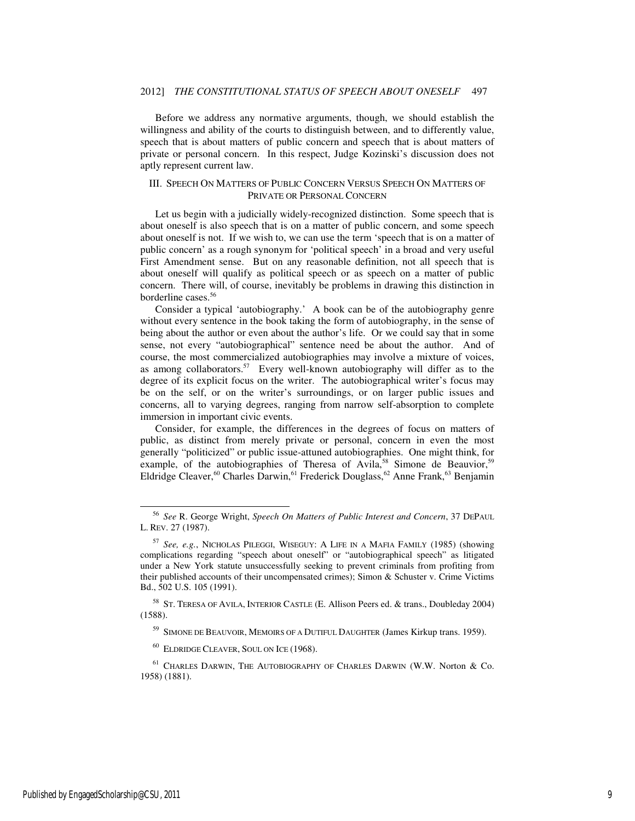Before we address any normative arguments, though, we should establish the willingness and ability of the courts to distinguish between, and to differently value, speech that is about matters of public concern and speech that is about matters of private or personal concern. In this respect, Judge Kozinski's discussion does not aptly represent current law.

#### III. SPEECH ON MATTERS OF PUBLIC CONCERN VERSUS SPEECH ON MATTERS OF PRIVATE OR PERSONAL CONCERN

Let us begin with a judicially widely-recognized distinction. Some speech that is about oneself is also speech that is on a matter of public concern, and some speech about oneself is not. If we wish to, we can use the term 'speech that is on a matter of public concern' as a rough synonym for 'political speech' in a broad and very useful First Amendment sense. But on any reasonable definition, not all speech that is about oneself will qualify as political speech or as speech on a matter of public concern. There will, of course, inevitably be problems in drawing this distinction in borderline cases.<sup>56</sup>

Consider a typical 'autobiography.' A book can be of the autobiography genre without every sentence in the book taking the form of autobiography, in the sense of being about the author or even about the author's life. Or we could say that in some sense, not every "autobiographical" sentence need be about the author. And of course, the most commercialized autobiographies may involve a mixture of voices, as among collaborators.<sup>57</sup> Every well-known autobiography will differ as to the degree of its explicit focus on the writer. The autobiographical writer's focus may be on the self, or on the writer's surroundings, or on larger public issues and concerns, all to varying degrees, ranging from narrow self-absorption to complete immersion in important civic events.

Consider, for example, the differences in the degrees of focus on matters of public, as distinct from merely private or personal, concern in even the most generally "politicized" or public issue-attuned autobiographies. One might think, for example, of the autobiographies of Theresa of Avila,<sup>58</sup> Simone de Beauvior,<sup>59</sup> Eldridge Cleaver,<sup>60</sup> Charles Darwin,<sup>61</sup> Frederick Douglass,<sup>62</sup> Anne Frank,<sup>63</sup> Benjamin

<sup>58</sup> ST. TERESA OF AVILA, INTERIOR CASTLE (E. Allison Peers ed. & trans., Doubleday 2004) (1588).

<sup>59</sup> SIMONE DE BEAUVOIR, MEMOIRS OF A DUTIFUL DAUGHTER (James Kirkup trans. 1959).

<sup>60</sup> ELDRIDGE CLEAVER, SOUL ON ICE (1968).

<sup>61</sup> CHARLES DARWIN, THE AUTOBIOGRAPHY OF CHARLES DARWIN (W.W. Norton & Co. 1958) (1881).

<sup>56</sup> *See* R. George Wright, *Speech On Matters of Public Interest and Concern*, 37 DEPAUL L. REV. 27 (1987).

<sup>57</sup> *See, e.g.*, NICHOLAS PILEGGI, WISEGUY: A LIFE IN A MAFIA FAMILY (1985) (showing complications regarding "speech about oneself" or "autobiographical speech" as litigated under a New York statute unsuccessfully seeking to prevent criminals from profiting from their published accounts of their uncompensated crimes); Simon & Schuster v. Crime Victims Bd., 502 U.S. 105 (1991).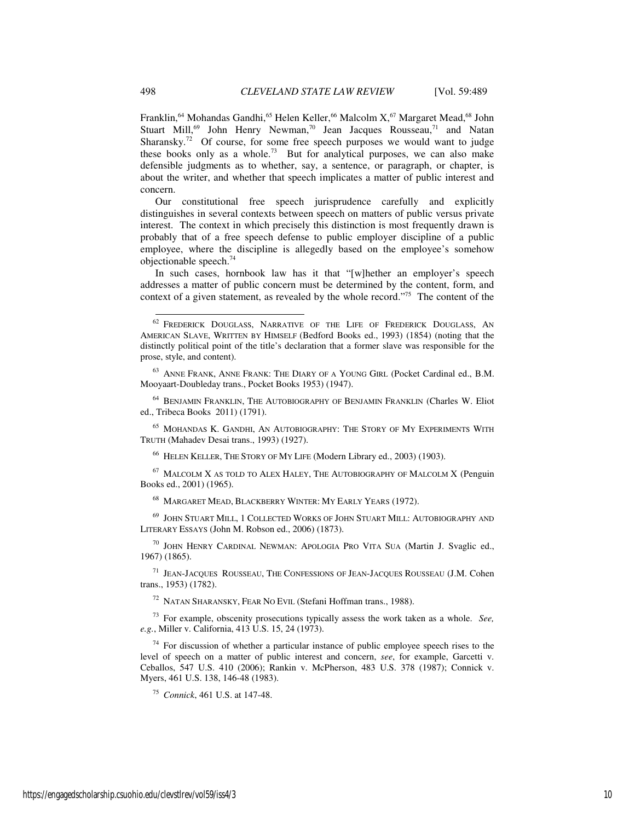Franklin,<sup>64</sup> Mohandas Gandhi,<sup>65</sup> Helen Keller,<sup>66</sup> Malcolm X,<sup>67</sup> Margaret Mead,<sup>68</sup> John Stuart Mill,<sup>69</sup> John Henry Newman,<sup>70</sup> Jean Jacques Rousseau,<sup>71</sup> and Natan Sharansky.<sup>72</sup> Of course, for some free speech purposes we would want to judge these books only as a whole.<sup>73</sup> But for analytical purposes, we can also make defensible judgments as to whether, say, a sentence, or paragraph, or chapter, is about the writer, and whether that speech implicates a matter of public interest and concern.

Our constitutional free speech jurisprudence carefully and explicitly distinguishes in several contexts between speech on matters of public versus private interest. The context in which precisely this distinction is most frequently drawn is probably that of a free speech defense to public employer discipline of a public employee, where the discipline is allegedly based on the employee's somehow objectionable speech.<sup>74</sup>

In such cases, hornbook law has it that "[w]hether an employer's speech addresses a matter of public concern must be determined by the content, form, and context of a given statement, as revealed by the whole record."<sup>75</sup> The content of the

<sup>64</sup> BENJAMIN FRANKLIN, THE AUTOBIOGRAPHY OF BENJAMIN FRANKLIN (Charles W. Eliot ed., Tribeca Books 2011) (1791).

<sup>65</sup> MOHANDAS K. GANDHI, AN AUTOBIOGRAPHY: THE STORY OF MY EXPERIMENTS WITH TRUTH (Mahadev Desai trans., 1993) (1927).

<sup>66</sup> HELEN KELLER, THE STORY OF MY LIFE (Modern Library ed., 2003) (1903).

 $67$  MALCOLM X AS TOLD TO ALEX HALEY, THE AUTOBIOGRAPHY OF MALCOLM X (Penguin Books ed., 2001) (1965).

<sup>68</sup> MARGARET MEAD, BLACKBERRY WINTER: MY EARLY YEARS (1972).

<sup>69</sup> JOHN STUART MILL, 1 COLLECTED WORKS OF JOHN STUART MILL: AUTOBIOGRAPHY AND LITERARY ESSAYS (John M. Robson ed., 2006) (1873).

<sup>70</sup> JOHN HENRY CARDINAL NEWMAN: APOLOGIA PRO VITA SUA (Martin J. Svaglic ed., 1967) (1865).

<sup>71</sup> JEAN-JACQUES ROUSSEAU, THE CONFESSIONS OF JEAN-JACQUES ROUSSEAU (J.M. Cohen trans., 1953) (1782).

<sup>72</sup> NATAN SHARANSKY, FEAR NO EVIL (Stefani Hoffman trans., 1988).

<sup>73</sup> For example, obscenity prosecutions typically assess the work taken as a whole. *See, e.g.*, Miller v. California, 413 U.S. 15, 24 (1973).

 $74$  For discussion of whether a particular instance of public employee speech rises to the level of speech on a matter of public interest and concern, *see*, for example, Garcetti v. Ceballos, 547 U.S. 410 (2006); Rankin v. McPherson, 483 U.S. 378 (1987); Connick v. Myers, 461 U.S. 138, 146-48 (1983).

<sup>75</sup> *Connick*, 461 U.S. at 147-48.

 $62$  Frederick Douglass, Narrative of the Life of Frederick Douglass, An AMERICAN SLAVE, WRITTEN BY HIMSELF (Bedford Books ed., 1993) (1854) (noting that the distinctly political point of the title's declaration that a former slave was responsible for the prose, style, and content).

<sup>63</sup> ANNE FRANK, ANNE FRANK: THE DIARY OF A YOUNG GIRL (Pocket Cardinal ed., B.M. Mooyaart-Doubleday trans., Pocket Books 1953) (1947).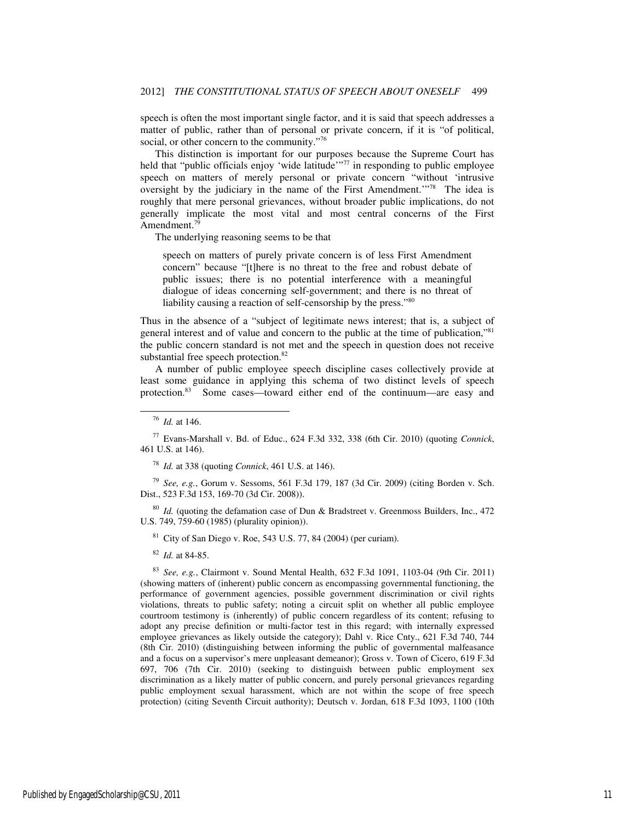speech is often the most important single factor, and it is said that speech addresses a matter of public, rather than of personal or private concern, if it is "of political, social, or other concern to the community."<sup>76</sup>

This distinction is important for our purposes because the Supreme Court has held that "public officials enjoy 'wide latitude'<sup>"77</sup> in responding to public employee speech on matters of merely personal or private concern "without 'intrusive oversight by the judiciary in the name of the First Amendment.'"<sup>78</sup> The idea is roughly that mere personal grievances, without broader public implications, do not generally implicate the most vital and most central concerns of the First Amendment.<sup>79</sup>

The underlying reasoning seems to be that

speech on matters of purely private concern is of less First Amendment concern" because "[t]here is no threat to the free and robust debate of public issues; there is no potential interference with a meaningful dialogue of ideas concerning self-government; and there is no threat of liability causing a reaction of self-censorship by the press."80

Thus in the absence of a "subject of legitimate news interest; that is, a subject of general interest and of value and concern to the public at the time of publication,"<sup>81</sup> the public concern standard is not met and the speech in question does not receive substantial free speech protection.<sup>82</sup>

A number of public employee speech discipline cases collectively provide at least some guidance in applying this schema of two distinct levels of speech protection.<sup>83</sup> Some cases—toward either end of the continuum—are easy and

-

<sup>77</sup> Evans-Marshall v. Bd. of Educ., 624 F.3d 332, 338 (6th Cir. 2010) (quoting *Connick*, 461 U.S. at 146).

<sup>78</sup> *Id.* at 338 (quoting *Connick*, 461 U.S. at 146).

<sup>79</sup> *See, e.g.*, Gorum v. Sessoms, 561 F.3d 179, 187 (3d Cir. 2009) (citing Borden v. Sch. Dist., 523 F.3d 153, 169-70 (3d Cir. 2008)).

<sup>80</sup> *Id.* (quoting the defamation case of Dun & Bradstreet v. Greenmoss Builders, Inc., 472 U.S. 749, 759-60 (1985) (plurality opinion)).

 $81$  City of San Diego v. Roe, 543 U.S. 77, 84 (2004) (per curiam).

<sup>82</sup> *Id.* at 84-85.

<sup>83</sup> *See, e.g.*, Clairmont v. Sound Mental Health, 632 F.3d 1091, 1103-04 (9th Cir. 2011) (showing matters of (inherent) public concern as encompassing governmental functioning, the performance of government agencies, possible government discrimination or civil rights violations, threats to public safety; noting a circuit split on whether all public employee courtroom testimony is (inherently) of public concern regardless of its content; refusing to adopt any precise definition or multi-factor test in this regard; with internally expressed employee grievances as likely outside the category); Dahl v. Rice Cnty., 621 F.3d 740, 744 (8th Cir. 2010) (distinguishing between informing the public of governmental malfeasance and a focus on a supervisor's mere unpleasant demeanor); Gross v. Town of Cicero, 619 F.3d 697, 706 (7th Cir. 2010) (seeking to distinguish between public employment sex discrimination as a likely matter of public concern, and purely personal grievances regarding public employment sexual harassment, which are not within the scope of free speech protection) (citing Seventh Circuit authority); Deutsch v. Jordan, 618 F.3d 1093, 1100 (10th

<sup>76</sup> *Id.* at 146.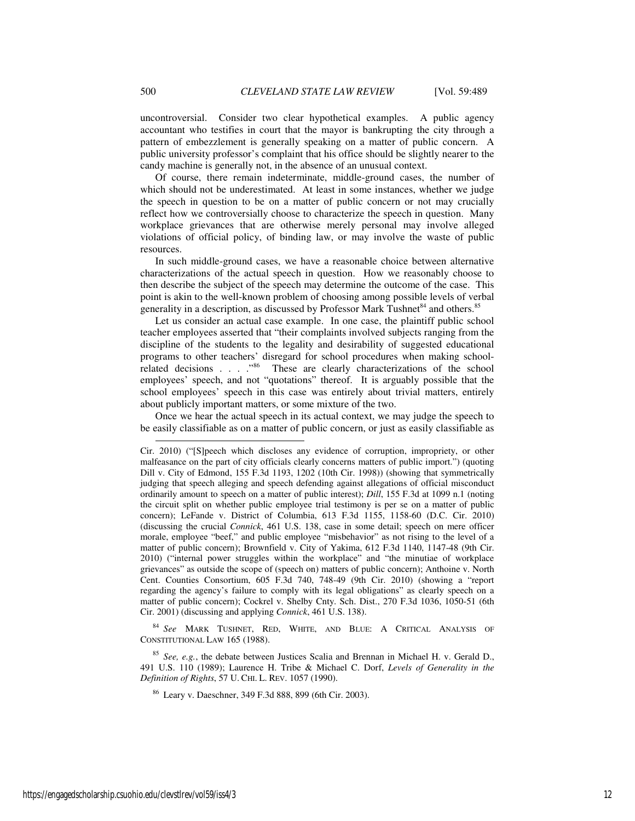uncontroversial. Consider two clear hypothetical examples. A public agency accountant who testifies in court that the mayor is bankrupting the city through a pattern of embezzlement is generally speaking on a matter of public concern. A public university professor's complaint that his office should be slightly nearer to the candy machine is generally not, in the absence of an unusual context.

Of course, there remain indeterminate, middle-ground cases, the number of which should not be underestimated. At least in some instances, whether we judge the speech in question to be on a matter of public concern or not may crucially reflect how we controversially choose to characterize the speech in question. Many workplace grievances that are otherwise merely personal may involve alleged violations of official policy, of binding law, or may involve the waste of public resources.

In such middle-ground cases, we have a reasonable choice between alternative characterizations of the actual speech in question. How we reasonably choose to then describe the subject of the speech may determine the outcome of the case. This point is akin to the well-known problem of choosing among possible levels of verbal generality in a description, as discussed by Professor Mark Tushnet<sup>84</sup> and others.<sup>85</sup>

Let us consider an actual case example. In one case, the plaintiff public school teacher employees asserted that "their complaints involved subjects ranging from the discipline of the students to the legality and desirability of suggested educational programs to other teachers' disregard for school procedures when making schoolrelated decisions . . . . "86 These are clearly characterizations of the school employees' speech, and not "quotations" thereof. It is arguably possible that the school employees' speech in this case was entirely about trivial matters, entirely about publicly important matters, or some mixture of the two.

Once we hear the actual speech in its actual context, we may judge the speech to be easily classifiable as on a matter of public concern, or just as easily classifiable as

<sup>84</sup> *See* MARK TUSHNET, RED, WHITE, AND BLUE: A CRITICAL ANALYSIS OF CONSTITUTIONAL LAW 165 (1988).

<sup>85</sup> *See, e.g.*, the debate between Justices Scalia and Brennan in Michael H. v. Gerald D., 491 U.S. 110 (1989); Laurence H. Tribe & Michael C. Dorf, *Levels of Generality in the Definition of Rights*, 57 U. CHI. L. REV. 1057 (1990).

<sup>86</sup> Leary v. Daeschner, 349 F.3d 888, 899 (6th Cir. 2003).

 $\overline{a}$ 

Cir. 2010) ("[S]peech which discloses any evidence of corruption, impropriety, or other malfeasance on the part of city officials clearly concerns matters of public import.") (quoting Dill v. City of Edmond, 155 F.3d 1193, 1202 (10th Cir. 1998)) (showing that symmetrically judging that speech alleging and speech defending against allegations of official misconduct ordinarily amount to speech on a matter of public interest); *Dill*, 155 F.3d at 1099 n.1 (noting the circuit split on whether public employee trial testimony is per se on a matter of public concern); LeFande v. District of Columbia, 613 F.3d 1155, 1158-60 (D.C. Cir. 2010) (discussing the crucial *Connick*, 461 U.S. 138, case in some detail; speech on mere officer morale, employee "beef," and public employee "misbehavior" as not rising to the level of a matter of public concern); Brownfield v. City of Yakima, 612 F.3d 1140, 1147-48 (9th Cir. 2010) ("internal power struggles within the workplace" and "the minutiae of workplace grievances" as outside the scope of (speech on) matters of public concern); Anthoine v. North Cent. Counties Consortium, 605 F.3d 740, 748-49 (9th Cir. 2010) (showing a "report regarding the agency's failure to comply with its legal obligations" as clearly speech on a matter of public concern); Cockrel v. Shelby Cnty. Sch. Dist., 270 F.3d 1036, 1050-51 (6th Cir. 2001) (discussing and applying *Connick*, 461 U.S. 138).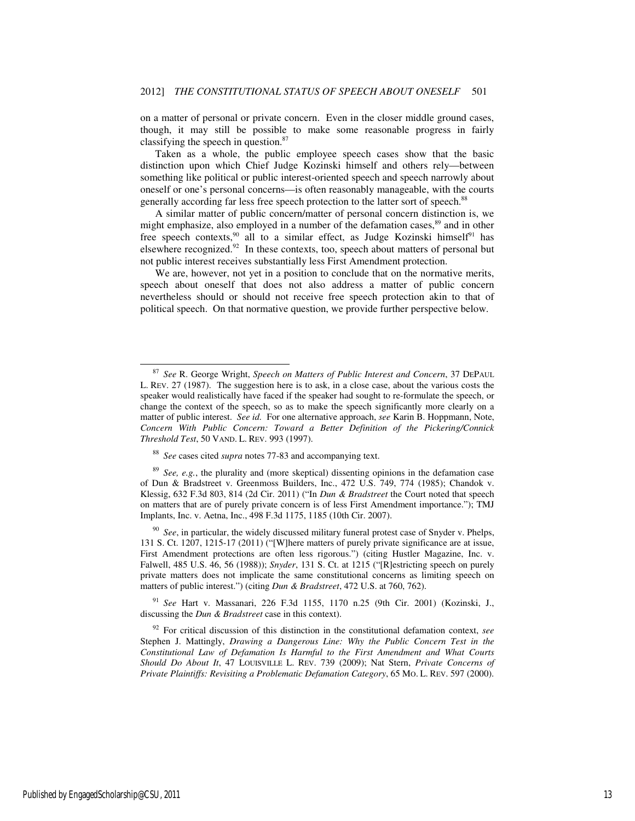on a matter of personal or private concern. Even in the closer middle ground cases, though, it may still be possible to make some reasonable progress in fairly classifying the speech in question.<sup>87</sup>

Taken as a whole, the public employee speech cases show that the basic distinction upon which Chief Judge Kozinski himself and others rely—between something like political or public interest-oriented speech and speech narrowly about oneself or one's personal concerns—is often reasonably manageable, with the courts generally according far less free speech protection to the latter sort of speech.<sup>88</sup>

A similar matter of public concern/matter of personal concern distinction is, we might emphasize, also employed in a number of the defamation cases,<sup>89</sup> and in other free speech contexts,<sup>90</sup> all to a similar effect, as Judge Kozinski himself<sup>91</sup> has elsewhere recognized.<sup>92</sup> In these contexts, too, speech about matters of personal but not public interest receives substantially less First Amendment protection.

We are, however, not yet in a position to conclude that on the normative merits, speech about oneself that does not also address a matter of public concern nevertheless should or should not receive free speech protection akin to that of political speech. On that normative question, we provide further perspective below.

<sup>90</sup> *See*, in particular, the widely discussed military funeral protest case of Snyder v. Phelps, 131 S. Ct. 1207, 1215-17 (2011) ("[W]here matters of purely private significance are at issue, First Amendment protections are often less rigorous.") (citing Hustler Magazine, Inc. v. Falwell, 485 U.S. 46, 56 (1988)); *Snyder*, 131 S. Ct. at 1215 ("[R]estricting speech on purely private matters does not implicate the same constitutional concerns as limiting speech on matters of public interest.") (citing *Dun & Bradstreet*, 472 U.S. at 760, 762).

<sup>91</sup> *See* Hart v. Massanari, 226 F.3d 1155, 1170 n.25 (9th Cir. 2001) (Kozinski, J., discussing the *Dun & Bradstreet* case in this context).

<sup>92</sup> For critical discussion of this distinction in the constitutional defamation context, *see* Stephen J. Mattingly, *Drawing a Dangerous Line: Why the Public Concern Test in the Constitutional Law of Defamation Is Harmful to the First Amendment and What Courts Should Do About It*, 47 LOUISVILLE L. REV. 739 (2009); Nat Stern, *Private Concerns of Private Plaintiffs: Revisiting a Problematic Defamation Category*, 65 MO. L. REV. 597 (2000).

<sup>87</sup> *See* R. George Wright, *Speech on Matters of Public Interest and Concern*, 37 DEPAUL L. REV. 27 (1987). The suggestion here is to ask, in a close case, about the various costs the speaker would realistically have faced if the speaker had sought to re-formulate the speech, or change the context of the speech, so as to make the speech significantly more clearly on a matter of public interest. *See id.* For one alternative approach, *see* Karin B. Hoppmann, Note, *Concern With Public Concern: Toward a Better Definition of the Pickering/Connick Threshold Test*, 50 VAND. L. REV. 993 (1997).

<sup>88</sup> *See* cases cited *supra* notes 77-83 and accompanying text.

<sup>89</sup> *See, e.g.*, the plurality and (more skeptical) dissenting opinions in the defamation case of Dun & Bradstreet v. Greenmoss Builders, Inc., 472 U.S. 749, 774 (1985); Chandok v. Klessig, 632 F.3d 803, 814 (2d Cir. 2011) ("In *Dun & Bradstreet* the Court noted that speech on matters that are of purely private concern is of less First Amendment importance."); TMJ Implants, Inc. v. Aetna, Inc., 498 F.3d 1175, 1185 (10th Cir. 2007).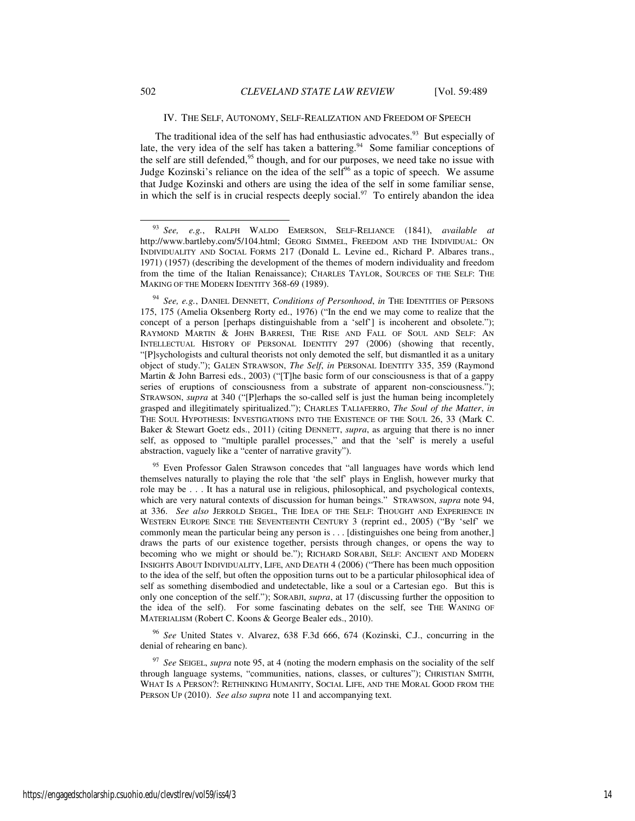#### IV. THE SELF, AUTONOMY, SELF-REALIZATION AND FREEDOM OF SPEECH

The traditional idea of the self has had enthusiastic advocates.<sup>93</sup> But especially of late, the very idea of the self has taken a battering.<sup>94</sup> Some familiar conceptions of the self are still defended,<sup>95</sup> though, and for our purposes, we need take no issue with Judge Kozinski's reliance on the idea of the self<sup>96</sup> as a topic of speech. We assume that Judge Kozinski and others are using the idea of the self in some familiar sense, in which the self is in crucial respects deeply social.<sup>97</sup> To entirely abandon the idea

<sup>94</sup> *See, e.g.*, DANIEL DENNETT, *Conditions of Personhood*, *in* THE IDENTITIES OF PERSONS 175, 175 (Amelia Oksenberg Rorty ed., 1976) ("In the end we may come to realize that the concept of a person [perhaps distinguishable from a 'self'] is incoherent and obsolete."); RAYMOND MARTIN & JOHN BARRESI, THE RISE AND FALL OF SOUL AND SELF: AN INTELLECTUAL HISTORY OF PERSONAL IDENTITY 297 (2006) (showing that recently, "[P]sychologists and cultural theorists not only demoted the self, but dismantled it as a unitary object of study."); GALEN STRAWSON, *The Self*, *in* PERSONAL IDENTITY 335, 359 (Raymond Martin & John Barresi eds., 2003) ("[T]he basic form of our consciousness is that of a gappy series of eruptions of consciousness from a substrate of apparent non-consciousness."); STRAWSON, *supra* at 340 ("[P]erhaps the so-called self is just the human being incompletely grasped and illegitimately spiritualized."); CHARLES TALIAFERRO, *The Soul of the Matter*, *in* THE SOUL HYPOTHESIS: INVESTIGATIONS INTO THE EXISTENCE OF THE SOUL 26, 33 (Mark C. Baker & Stewart Goetz eds., 2011) (citing DENNETT, *supra*, as arguing that there is no inner self, as opposed to "multiple parallel processes," and that the 'self' is merely a useful abstraction, vaguely like a "center of narrative gravity").

<sup>95</sup> Even Professor Galen Strawson concedes that "all languages have words which lend themselves naturally to playing the role that 'the self' plays in English, however murky that role may be . . . It has a natural use in religious, philosophical, and psychological contexts, which are very natural contexts of discussion for human beings." STRAWSON, *supra* note 94, at 336. *See also* JERROLD SEIGEL, THE IDEA OF THE SELF: THOUGHT AND EXPERIENCE IN WESTERN EUROPE SINCE THE SEVENTEENTH CENTURY 3 (reprint ed., 2005) ("By 'self' we commonly mean the particular being any person is . . . [distinguishes one being from another,] draws the parts of our existence together, persists through changes, or opens the way to becoming who we might or should be."); RICHARD SORABJI, SELF: ANCIENT AND MODERN INSIGHTS ABOUT INDIVIDUALITY, LIFE, AND DEATH 4 (2006) ("There has been much opposition to the idea of the self, but often the opposition turns out to be a particular philosophical idea of self as something disembodied and undetectable, like a soul or a Cartesian ego. But this is only one conception of the self."); SORABJI, *supra*, at 17 (discussing further the opposition to the idea of the self). For some fascinating debates on the self, see THE WANING OF MATERIALISM (Robert C. Koons & George Bealer eds., 2010).

<sup>96</sup> *See* United States v. Alvarez, 638 F.3d 666, 674 (Kozinski, C.J., concurring in the denial of rehearing en banc).

<sup>97</sup> *See* SEIGEL, *supra* note 95, at 4 (noting the modern emphasis on the sociality of the self through language systems, "communities, nations, classes, or cultures"); CHRISTIAN SMITH, WHAT IS A PERSON?: RETHINKING HUMANITY, SOCIAL LIFE, AND THE MORAL GOOD FROM THE PERSON UP (2010). *See also supra* note 11 and accompanying text.

<sup>93</sup> *See, e.g.*, RALPH WALDO EMERSON, SELF-RELIANCE (1841), *available at* http://www.bartleby.com/5/104.html; GEORG SIMMEL, FREEDOM AND THE INDIVIDUAL: ON INDIVIDUALITY AND SOCIAL FORMS 217 (Donald L. Levine ed., Richard P. Albares trans., 1971) (1957) (describing the development of the themes of modern individuality and freedom from the time of the Italian Renaissance); CHARLES TAYLOR, SOURCES OF THE SELF: THE MAKING OF THE MODERN IDENTITY 368-69 (1989).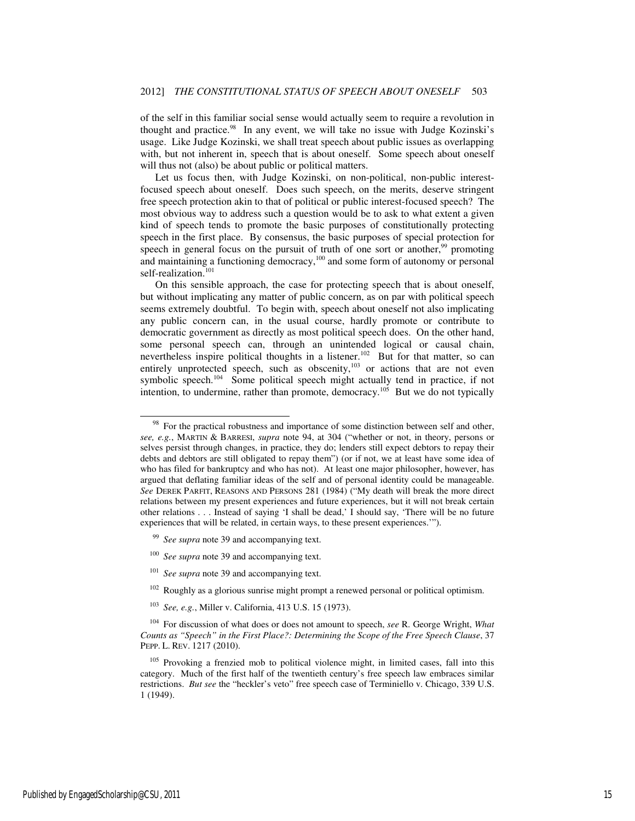of the self in this familiar social sense would actually seem to require a revolution in thought and practice. $98$  In any event, we will take no issue with Judge Kozinski's usage. Like Judge Kozinski, we shall treat speech about public issues as overlapping with, but not inherent in, speech that is about oneself. Some speech about oneself will thus not (also) be about public or political matters.

Let us focus then, with Judge Kozinski, on non-political, non-public interestfocused speech about oneself. Does such speech, on the merits, deserve stringent free speech protection akin to that of political or public interest-focused speech? The most obvious way to address such a question would be to ask to what extent a given kind of speech tends to promote the basic purposes of constitutionally protecting speech in the first place. By consensus, the basic purposes of special protection for speech in general focus on the pursuit of truth of one sort or another,<sup>99</sup> promoting and maintaining a functioning democracy,<sup>100</sup> and some form of autonomy or personal self-realization.<sup>101</sup>

On this sensible approach, the case for protecting speech that is about oneself, but without implicating any matter of public concern, as on par with political speech seems extremely doubtful. To begin with, speech about oneself not also implicating any public concern can, in the usual course, hardly promote or contribute to democratic government as directly as most political speech does. On the other hand, some personal speech can, through an unintended logical or causal chain, nevertheless inspire political thoughts in a listener.<sup>102</sup> But for that matter, so can entirely unprotected speech, such as obscenity,<sup>103</sup> or actions that are not even symbolic speech.<sup>104</sup> Some political speech might actually tend in practice, if not intention, to undermine, rather than promote, democracy.<sup>105</sup> But we do not typically

- <sup>99</sup> *See supra* note 39 and accompanying text.
- <sup>100</sup> *See supra* note 39 and accompanying text.
- <sup>101</sup> *See supra* note 39 and accompanying text.
- $102$  Roughly as a glorious sunrise might prompt a renewed personal or political optimism.
- <sup>103</sup> *See, e.g.*, Miller v. California, 413 U.S. 15 (1973).

<sup>&</sup>lt;sup>98</sup> For the practical robustness and importance of some distinction between self and other, *see, e.g.*, MARTIN & BARRESI, *supra* note 94, at 304 ("whether or not, in theory, persons or selves persist through changes, in practice, they do; lenders still expect debtors to repay their debts and debtors are still obligated to repay them") (or if not, we at least have some idea of who has filed for bankruptcy and who has not). At least one major philosopher, however, has argued that deflating familiar ideas of the self and of personal identity could be manageable. *See* DEREK PARFIT, REASONS AND PERSONS 281 (1984) ("My death will break the more direct relations between my present experiences and future experiences, but it will not break certain other relations . . . Instead of saying 'I shall be dead,' I should say, 'There will be no future experiences that will be related, in certain ways, to these present experiences.'").

<sup>104</sup> For discussion of what does or does not amount to speech, *see* R. George Wright, *What Counts as "Speech" in the First Place?: Determining the Scope of the Free Speech Clause*, 37 PEPP. L. REV. 1217 (2010).

<sup>&</sup>lt;sup>105</sup> Provoking a frenzied mob to political violence might, in limited cases, fall into this category. Much of the first half of the twentieth century's free speech law embraces similar restrictions. *But see* the "heckler's veto" free speech case of Terminiello v. Chicago, 339 U.S. 1 (1949).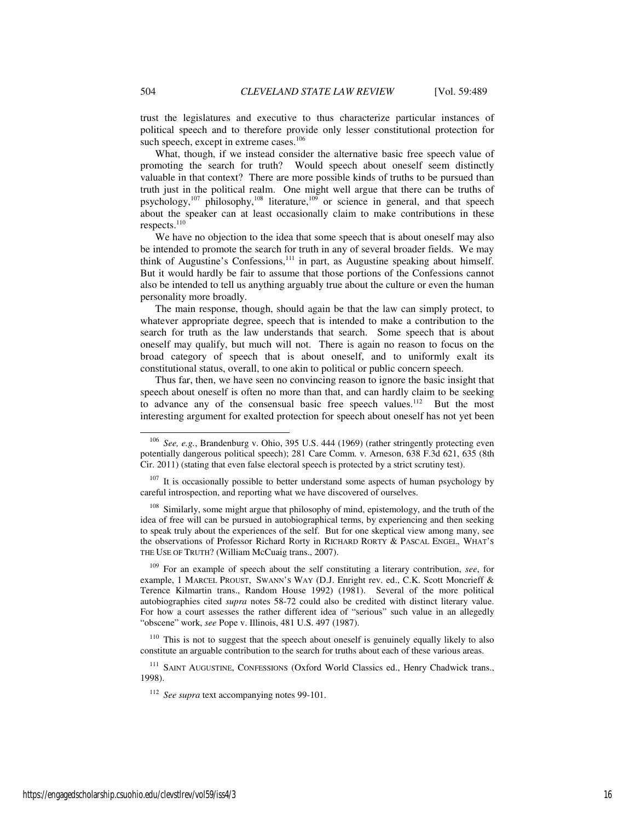trust the legislatures and executive to thus characterize particular instances of political speech and to therefore provide only lesser constitutional protection for such speech, except in extreme cases.<sup>106</sup>

What, though, if we instead consider the alternative basic free speech value of promoting the search for truth? Would speech about oneself seem distinctly valuable in that context? There are more possible kinds of truths to be pursued than truth just in the political realm. One might well argue that there can be truths of psychology,<sup>107</sup> philosophy,<sup>108</sup> literature,<sup>109</sup> or science in general, and that speech about the speaker can at least occasionally claim to make contributions in these respects.<sup>110</sup>

We have no objection to the idea that some speech that is about oneself may also be intended to promote the search for truth in any of several broader fields. We may think of Augustine's Confessions,<sup>111</sup> in part, as Augustine speaking about himself. But it would hardly be fair to assume that those portions of the Confessions cannot also be intended to tell us anything arguably true about the culture or even the human personality more broadly.

The main response, though, should again be that the law can simply protect, to whatever appropriate degree, speech that is intended to make a contribution to the search for truth as the law understands that search. Some speech that is about oneself may qualify, but much will not. There is again no reason to focus on the broad category of speech that is about oneself, and to uniformly exalt its constitutional status, overall, to one akin to political or public concern speech.

Thus far, then, we have seen no convincing reason to ignore the basic insight that speech about oneself is often no more than that, and can hardly claim to be seeking to advance any of the consensual basic free speech values.<sup>112</sup> But the most interesting argument for exalted protection for speech about oneself has not yet been

<sup>109</sup> For an example of speech about the self constituting a literary contribution, *see*, for example, 1 MARCEL PROUST, SWANN'S WAY (D.J. Enright rev. ed., C.K. Scott Moncrieff & Terence Kilmartin trans., Random House 1992) (1981). Several of the more political autobiographies cited *supra* notes 58-72 could also be credited with distinct literary value. For how a court assesses the rather different idea of "serious" such value in an allegedly "obscene" work, *see* Pope v. Illinois, 481 U.S. 497 (1987).

<sup>110</sup> This is not to suggest that the speech about oneself is genuinely equally likely to also constitute an arguable contribution to the search for truths about each of these various areas.

<sup>111</sup> SAINT AUGUSTINE, CONFESSIONS (Oxford World Classics ed., Henry Chadwick trans., 1998).

<sup>112</sup> *See supra* text accompanying notes 99-101.

<sup>106</sup> *See, e.g.*, Brandenburg v. Ohio, 395 U.S. 444 (1969) (rather stringently protecting even potentially dangerous political speech); 281 Care Comm. v. Arneson, 638 F.3d 621, 635 (8th Cir. 2011) (stating that even false electoral speech is protected by a strict scrutiny test).

 $107$  It is occasionally possible to better understand some aspects of human psychology by careful introspection, and reporting what we have discovered of ourselves.

<sup>&</sup>lt;sup>108</sup> Similarly, some might argue that philosophy of mind, epistemology, and the truth of the idea of free will can be pursued in autobiographical terms, by experiencing and then seeking to speak truly about the experiences of the self. But for one skeptical view among many, see the observations of Professor Richard Rorty in RICHARD RORTY & PASCAL ENGEL, WHAT'S THE USE OF TRUTH? (William McCuaig trans., 2007).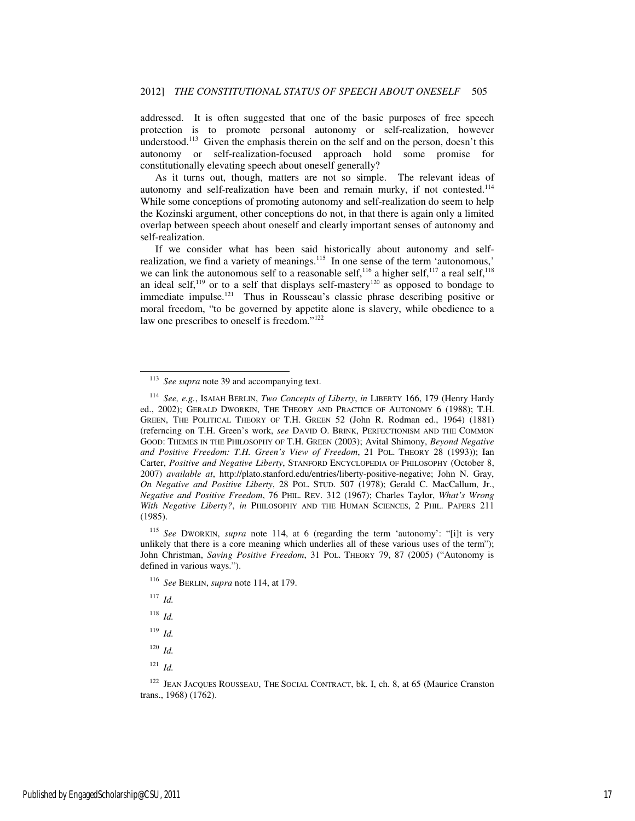addressed. It is often suggested that one of the basic purposes of free speech protection is to promote personal autonomy or self-realization, however understood.<sup>113</sup> Given the emphasis therein on the self and on the person, doesn't this autonomy or self-realization-focused approach hold some promise for constitutionally elevating speech about oneself generally?

As it turns out, though, matters are not so simple. The relevant ideas of autonomy and self-realization have been and remain murky, if not contested.<sup>114</sup> While some conceptions of promoting autonomy and self-realization do seem to help the Kozinski argument, other conceptions do not, in that there is again only a limited overlap between speech about oneself and clearly important senses of autonomy and self-realization.

If we consider what has been said historically about autonomy and selfrealization, we find a variety of meanings.<sup>115</sup> In one sense of the term 'autonomous,' we can link the autonomous self to a reasonable self,<sup>116</sup> a higher self,<sup>117</sup> a real self,<sup>118</sup> an ideal self,<sup>119</sup> or to a self that displays self-mastery<sup>120</sup> as opposed to bondage to immediate impulse.<sup>121</sup> Thus in Rousseau's classic phrase describing positive or moral freedom, "to be governed by appetite alone is slavery, while obedience to a law one prescribes to oneself is freedom."<sup>122</sup>

<sup>115</sup> *See* DWORKIN, *supra* note 114, at 6 (regarding the term 'autonomy': "[i]t is very unlikely that there is a core meaning which underlies all of these various uses of the term"); John Christman, *Saving Positive Freedom*, 31 POL. THEORY 79, 87 (2005) ("Autonomy is defined in various ways.").

<sup>116</sup> *See* BERLIN, *supra* note 114, at 179.

<sup>117</sup> *Id.*

- <sup>118</sup> *Id.*
- <sup>119</sup> *Id.*
- <sup>120</sup> *Id.*
- <sup>121</sup> *Id.*

<sup>&</sup>lt;sup>113</sup> *See supra* note 39 and accompanying text.

<sup>114</sup> *See, e.g.*, ISAIAH BERLIN, *Two Concepts of Liberty*, *in* LIBERTY 166, 179 (Henry Hardy ed., 2002); GERALD DWORKIN, THE THEORY AND PRACTICE OF AUTONOMY 6 (1988); T.H. GREEN, THE POLITICAL THEORY OF T.H. GREEN 52 (John R. Rodman ed., 1964) (1881) (referncing on T.H. Green's work, *see* DAVID O. BRINK, PERFECTIONISM AND THE COMMON GOOD: THEMES IN THE PHILOSOPHY OF T.H. GREEN (2003); Avital Shimony, *Beyond Negative and Positive Freedom: T.H. Green's View of Freedom*, 21 POL. THEORY 28 (1993)); Ian Carter, *Positive and Negative Liberty*, STANFORD ENCYCLOPEDIA OF PHILOSOPHY (October 8, 2007) *available at*, http://plato.stanford.edu/entries/liberty-positive-negative; John N. Gray, *On Negative and Positive Liberty*, 28 POL. STUD. 507 (1978); Gerald C. MacCallum, Jr., *Negative and Positive Freedom*, 76 PHIL. REV. 312 (1967); Charles Taylor, *What's Wrong With Negative Liberty?*, *in* PHILOSOPHY AND THE HUMAN SCIENCES, 2 PHIL. PAPERS 211 (1985).

<sup>&</sup>lt;sup>122</sup> JEAN JACQUES ROUSSEAU, THE SOCIAL CONTRACT, bk. I, ch. 8, at 65 (Maurice Cranston trans., 1968) (1762).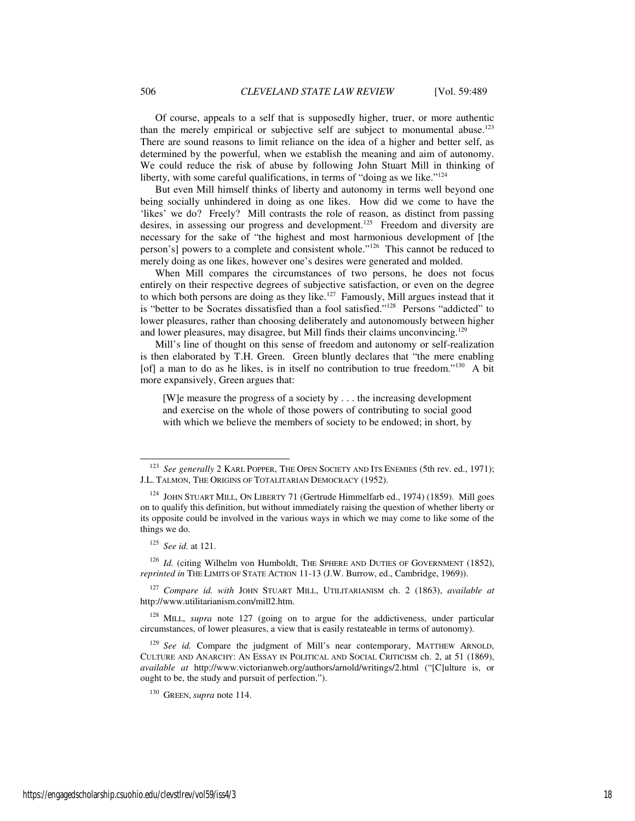Of course, appeals to a self that is supposedly higher, truer, or more authentic than the merely empirical or subjective self are subject to monumental abuse.<sup>123</sup> There are sound reasons to limit reliance on the idea of a higher and better self, as determined by the powerful, when we establish the meaning and aim of autonomy. We could reduce the risk of abuse by following John Stuart Mill in thinking of liberty, with some careful qualifications, in terms of "doing as we like."<sup>124</sup>

But even Mill himself thinks of liberty and autonomy in terms well beyond one being socially unhindered in doing as one likes. How did we come to have the 'likes' we do? Freely? Mill contrasts the role of reason, as distinct from passing desires, in assessing our progress and development.<sup>125</sup> Freedom and diversity are necessary for the sake of "the highest and most harmonious development of [the person's] powers to a complete and consistent whole."<sup>126</sup> This cannot be reduced to merely doing as one likes, however one's desires were generated and molded.

When Mill compares the circumstances of two persons, he does not focus entirely on their respective degrees of subjective satisfaction, or even on the degree to which both persons are doing as they like.<sup>127</sup> Famously, Mill argues instead that it is "better to be Socrates dissatisfied than a fool satisfied."<sup>128</sup> Persons "addicted" to lower pleasures, rather than choosing deliberately and autonomously between higher and lower pleasures, may disagree, but Mill finds their claims unconvincing.<sup>129</sup>

Mill's line of thought on this sense of freedom and autonomy or self-realization is then elaborated by T.H. Green. Green bluntly declares that "the mere enabling [of] a man to do as he likes, is in itself no contribution to true freedom."<sup>130</sup> A bit more expansively, Green argues that:

[W]e measure the progress of a society by . . . the increasing development and exercise on the whole of those powers of contributing to social good with which we believe the members of society to be endowed; in short, by

j

<sup>&</sup>lt;sup>123</sup> *See generally* 2 KARL POPPER, THE OPEN SOCIETY AND ITS ENEMIES (5th rev. ed., 1971); J.L. TALMON, THE ORIGINS OF TOTALITARIAN DEMOCRACY (1952).

<sup>124</sup> JOHN STUART MILL, ON LIBERTY 71 (Gertrude Himmelfarb ed., 1974) (1859). Mill goes on to qualify this definition, but without immediately raising the question of whether liberty or its opposite could be involved in the various ways in which we may come to like some of the things we do.

<sup>125</sup> *See id.* at 121.

<sup>&</sup>lt;sup>126</sup> *Id.* (citing Wilhelm von Humboldt, THE SPHERE AND DUTIES OF GOVERNMENT (1852), *reprinted in* THE LIMITS OF STATE ACTION 11-13 (J.W. Burrow, ed., Cambridge, 1969)).

<sup>127</sup> *Compare id. with* JOHN STUART MILL, UTILITARIANISM ch. 2 (1863), *available at* http://www.utilitarianism.com/mill2.htm.

<sup>&</sup>lt;sup>128</sup> MILL, *supra* note 127 (going on to argue for the addictiveness, under particular circumstances, of lower pleasures, a view that is easily restateable in terms of autonomy).

<sup>&</sup>lt;sup>129</sup> See id. Compare the judgment of Mill's near contemporary, MATTHEW ARNOLD, CULTURE AND ANARCHY: AN ESSAY IN POLITICAL AND SOCIAL CRITICISM ch. 2, at 51 (1869), *available at* http://www.victorianweb.org/authors/arnold/writings/2.html ("[C]ulture is, or ought to be, the study and pursuit of perfection.").

<sup>130</sup> GREEN, *supra* note 114.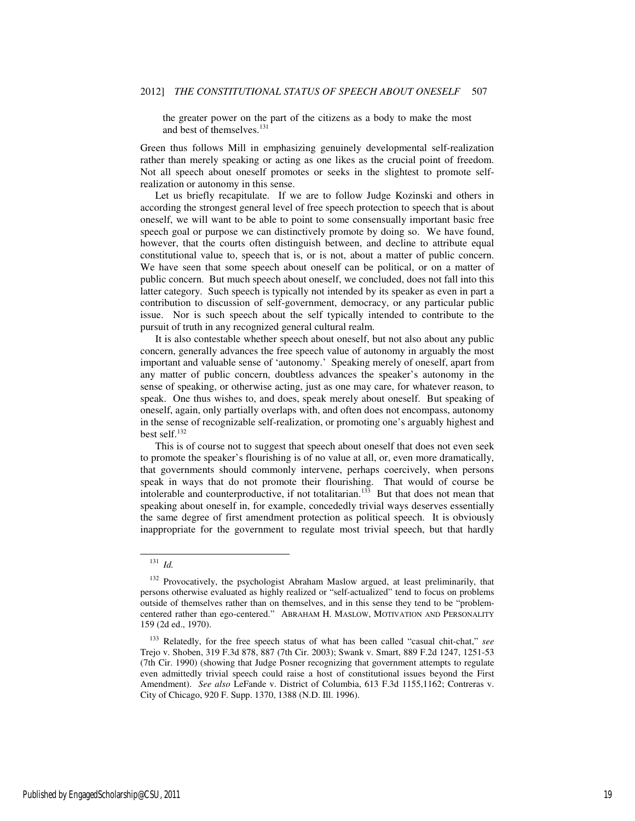the greater power on the part of the citizens as a body to make the most and best of themselves.<sup>131</sup>

Green thus follows Mill in emphasizing genuinely developmental self-realization rather than merely speaking or acting as one likes as the crucial point of freedom. Not all speech about oneself promotes or seeks in the slightest to promote selfrealization or autonomy in this sense.

Let us briefly recapitulate. If we are to follow Judge Kozinski and others in according the strongest general level of free speech protection to speech that is about oneself, we will want to be able to point to some consensually important basic free speech goal or purpose we can distinctively promote by doing so. We have found, however, that the courts often distinguish between, and decline to attribute equal constitutional value to, speech that is, or is not, about a matter of public concern. We have seen that some speech about oneself can be political, or on a matter of public concern. But much speech about oneself, we concluded, does not fall into this latter category. Such speech is typically not intended by its speaker as even in part a contribution to discussion of self-government, democracy, or any particular public issue. Nor is such speech about the self typically intended to contribute to the pursuit of truth in any recognized general cultural realm.

It is also contestable whether speech about oneself, but not also about any public concern, generally advances the free speech value of autonomy in arguably the most important and valuable sense of 'autonomy.' Speaking merely of oneself, apart from any matter of public concern, doubtless advances the speaker's autonomy in the sense of speaking, or otherwise acting, just as one may care, for whatever reason, to speak. One thus wishes to, and does, speak merely about oneself. But speaking of oneself, again, only partially overlaps with, and often does not encompass, autonomy in the sense of recognizable self-realization, or promoting one's arguably highest and best self.<sup>132</sup>

This is of course not to suggest that speech about oneself that does not even seek to promote the speaker's flourishing is of no value at all, or, even more dramatically, that governments should commonly intervene, perhaps coercively, when persons speak in ways that do not promote their flourishing. That would of course be intolerable and counterproductive, if not totalitarian.<sup>133</sup> But that does not mean that speaking about oneself in, for example, concededly trivial ways deserves essentially the same degree of first amendment protection as political speech. It is obviously inappropriate for the government to regulate most trivial speech, but that hardly

 $131$  *Id.* 

<sup>&</sup>lt;sup>132</sup> Provocatively, the psychologist Abraham Maslow argued, at least preliminarily, that persons otherwise evaluated as highly realized or "self-actualized" tend to focus on problems outside of themselves rather than on themselves, and in this sense they tend to be "problemcentered rather than ego-centered." ABRAHAM H. MASLOW, MOTIVATION AND PERSONALITY 159 (2d ed., 1970).

<sup>133</sup> Relatedly, for the free speech status of what has been called "casual chit-chat," *see* Trejo v. Shoben, 319 F.3d 878, 887 (7th Cir. 2003); Swank v. Smart, 889 F.2d 1247, 1251-53 (7th Cir. 1990) (showing that Judge Posner recognizing that government attempts to regulate even admittedly trivial speech could raise a host of constitutional issues beyond the First Amendment). *See also* LeFande v. District of Columbia, 613 F.3d 1155,1162; Contreras v. City of Chicago, 920 F. Supp. 1370, 1388 (N.D. Ill. 1996).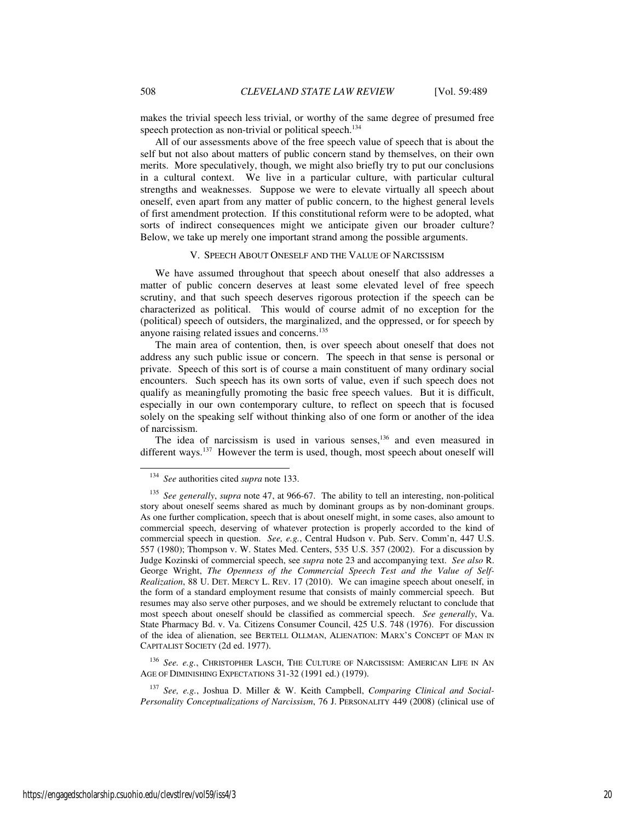makes the trivial speech less trivial, or worthy of the same degree of presumed free speech protection as non-trivial or political speech.<sup>134</sup>

All of our assessments above of the free speech value of speech that is about the self but not also about matters of public concern stand by themselves, on their own merits. More speculatively, though, we might also briefly try to put our conclusions in a cultural context. We live in a particular culture, with particular cultural strengths and weaknesses. Suppose we were to elevate virtually all speech about oneself, even apart from any matter of public concern, to the highest general levels of first amendment protection. If this constitutional reform were to be adopted, what sorts of indirect consequences might we anticipate given our broader culture? Below, we take up merely one important strand among the possible arguments.

#### V. SPEECH ABOUT ONESELF AND THE VALUE OF NARCISSISM

We have assumed throughout that speech about oneself that also addresses a matter of public concern deserves at least some elevated level of free speech scrutiny, and that such speech deserves rigorous protection if the speech can be characterized as political. This would of course admit of no exception for the (political) speech of outsiders, the marginalized, and the oppressed, or for speech by anyone raising related issues and concerns.<sup>135</sup>

The main area of contention, then, is over speech about oneself that does not address any such public issue or concern. The speech in that sense is personal or private. Speech of this sort is of course a main constituent of many ordinary social encounters. Such speech has its own sorts of value, even if such speech does not qualify as meaningfully promoting the basic free speech values. But it is difficult, especially in our own contemporary culture, to reflect on speech that is focused solely on the speaking self without thinking also of one form or another of the idea of narcissism.

The idea of narcissism is used in various senses,<sup>136</sup> and even measured in different ways.<sup>137</sup> However the term is used, though, most speech about oneself will

<sup>136</sup> *See. e.g.*, CHRISTOPHER LASCH, THE CULTURE OF NARCISSISM: AMERICAN LIFE IN A<sup>N</sup> AGE OF DIMINISHING EXPECTATIONS 31-32 (1991 ed.) (1979).

<sup>137</sup> *See, e.g.*, Joshua D. Miller & W. Keith Campbell, *Comparing Clinical and Social-Personality Conceptualizations of Narcissism*, 76 J. PERSONALITY 449 (2008) (clinical use of

<sup>134</sup> *See* authorities cited *supra* note 133.

<sup>135</sup> *See generally*, *supra* note 47, at 966-67. The ability to tell an interesting, non-political story about oneself seems shared as much by dominant groups as by non-dominant groups. As one further complication, speech that is about oneself might, in some cases, also amount to commercial speech, deserving of whatever protection is properly accorded to the kind of commercial speech in question. *See, e.g.*, Central Hudson v. Pub. Serv. Comm'n, 447 U.S. 557 (1980); Thompson v. W. States Med. Centers, 535 U.S. 357 (2002). For a discussion by Judge Kozinski of commercial speech, see *supra* note 23 and accompanying text. *See also* R. George Wright, *The Openness of the Commercial Speech Test and the Value of Self-Realization*, 88 U. DET. MERCY L. REV. 17 (2010). We can imagine speech about oneself, in the form of a standard employment resume that consists of mainly commercial speech. But resumes may also serve other purposes, and we should be extremely reluctant to conclude that most speech about oneself should be classified as commercial speech. *See generally*, Va. State Pharmacy Bd. v. Va. Citizens Consumer Council, 425 U.S. 748 (1976). For discussion of the idea of alienation, see BERTELL OLLMAN, ALIENATION: MARX'S CONCEPT OF MAN IN CAPITALIST SOCIETY (2d ed. 1977).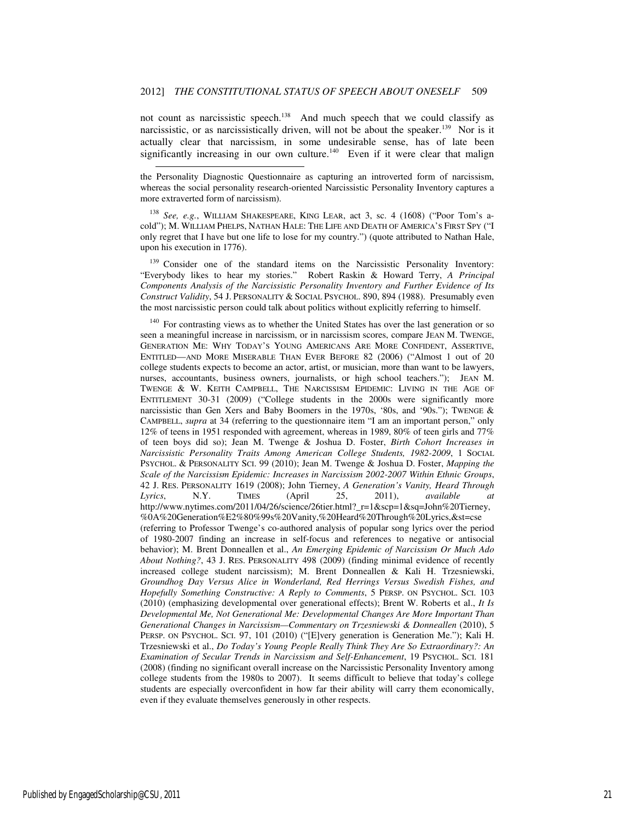not count as narcissistic speech.<sup>138</sup> And much speech that we could classify as narcissistic, or as narcissistically driven, will not be about the speaker.<sup>139</sup> Nor is it actually clear that narcissism, in some undesirable sense, has of late been significantly increasing in our own culture.<sup>140</sup> Even if it were clear that malign

j

<sup>138</sup> *See, e.g.*, WILLIAM SHAKESPEARE, KING LEAR, act 3, sc. 4 (1608) ("Poor Tom's acold"); M. WILLIAM PHELPS, NATHAN HALE: THE LIFE AND DEATH OF AMERICA'S FIRST SPY ("I only regret that I have but one life to lose for my country.") (quote attributed to Nathan Hale, upon his execution in 1776).

<sup>139</sup> Consider one of the standard items on the Narcissistic Personality Inventory: "Everybody likes to hear my stories." Robert Raskin & Howard Terry, *A Principal Components Analysis of the Narcissistic Personality Inventory and Further Evidence of Its Construct Validity*, 54 J. PERSONALITY & SOCIAL PSYCHOL. 890, 894 (1988). Presumably even the most narcissistic person could talk about politics without explicitly referring to himself.

<sup>140</sup> For contrasting views as to whether the United States has over the last generation or so seen a meaningful increase in narcissism, or in narcissism scores, compare JEAN M. TWENGE, GENERATION ME: WHY TODAY'S YOUNG AMERICANS ARE MORE CONFIDENT, ASSERTIVE, ENTITLED—AND MORE MISERABLE THAN EVER BEFORE 82 (2006) ("Almost 1 out of 20 college students expects to become an actor, artist, or musician, more than want to be lawyers, nurses, accountants, business owners, journalists, or high school teachers."); JEAN M. TWENGE & W. KEITH CAMPBELL, THE NARCISSISM EPIDEMIC: LIVING IN THE AGE OF ENTITLEMENT 30-31 (2009) ("College students in the 2000s were significantly more narcissistic than Gen Xers and Baby Boomers in the 1970s, '80s, and '90s.''); TWENGE & CAMPBELL, *supra* at 34 (referring to the questionnaire item "I am an important person," only 12% of teens in 1951 responded with agreement, whereas in 1989, 80% of teen girls and 77% of teen boys did so); Jean M. Twenge & Joshua D. Foster, *Birth Cohort Increases in Narcissistic Personality Traits Among American College Students, 1982-2009*, 1 SOCIAL PSYCHOL. & PERSONALITY SCI. 99 (2010); Jean M. Twenge & Joshua D. Foster, *Mapping the Scale of the Narcissism Epidemic: Increases in Narcissism 2002-2007 Within Ethnic Groups*, 42 J. RES. PERSONALITY 1619 (2008); John Tierney, *A Generation's Vanity, Heard Through Lyrics*, N.Y. TIMES (April 25, 2011), *available at*  http://www.nytimes.com/2011/04/26/science/26tier.html?\_r=1&scp=1&sq=John%20Tierney, %0A%20Generation%E2%80%99s%20Vanity,%20Heard%20Through%20Lyrics,&st=cse (referring to Professor Twenge's co-authored analysis of popular song lyrics over the period of 1980-2007 finding an increase in self-focus and references to negative or antisocial behavior); M. Brent Donneallen et al., *An Emerging Epidemic of Narcissism Or Much Ado About Nothing?*, 43 J. RES. PERSONALITY 498 (2009) (finding minimal evidence of recently increased college student narcissism); M. Brent Donneallen & Kali H. Trzesniewski, *Groundhog Day Versus Alice in Wonderland, Red Herrings Versus Swedish Fishes, and Hopefully Something Constructive: A Reply to Comments*, 5 PERSP. ON PSYCHOL. SCI. 103 (2010) (emphasizing developmental over generational effects); Brent W. Roberts et al., *It Is Developmental Me, Not Generational Me: Developmental Changes Are More Important Than Generational Changes in Narcissism—Commentary on Trzesniewski & Donneallen* (2010), 5 PERSP. ON PSYCHOL. SCI. 97, 101 (2010) ("[E]very generation is Generation Me."); Kali H. Trzesniewski et al., *Do Today's Young People Really Think They Are So Extraordinary?: An Examination of Secular Trends in Narcissism and Self-Enhancement*, 19 PSYCHOL. SCI. 181 (2008) (finding no significant overall increase on the Narcissistic Personality Inventory among college students from the 1980s to 2007). It seems difficult to believe that today's college students are especially overconfident in how far their ability will carry them economically, even if they evaluate themselves generously in other respects.

the Personality Diagnostic Questionnaire as capturing an introverted form of narcissism, whereas the social personality research-oriented Narcissistic Personality Inventory captures a more extraverted form of narcissism).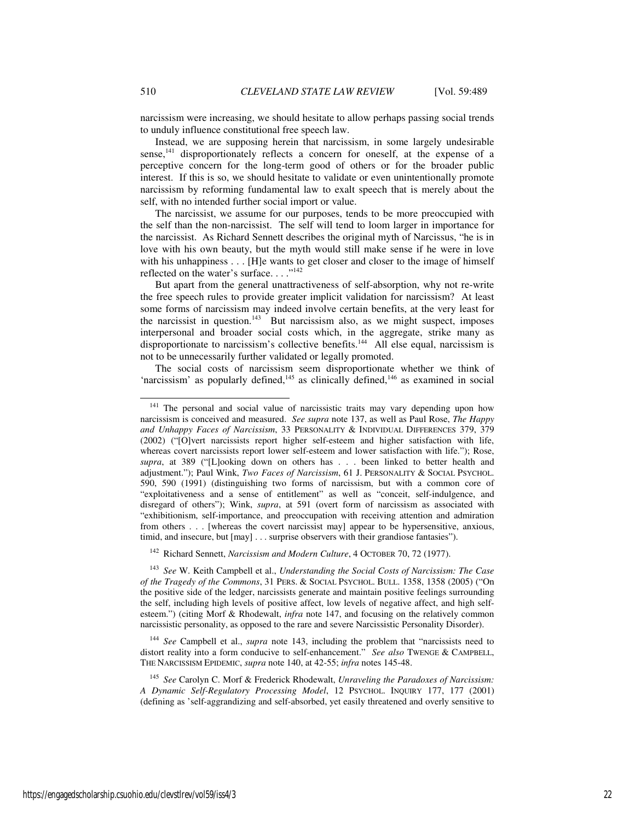narcissism were increasing, we should hesitate to allow perhaps passing social trends to unduly influence constitutional free speech law.

Instead, we are supposing herein that narcissism, in some largely undesirable sense,<sup>141</sup> disproportionately reflects a concern for oneself, at the expense of a perceptive concern for the long-term good of others or for the broader public interest. If this is so, we should hesitate to validate or even unintentionally promote narcissism by reforming fundamental law to exalt speech that is merely about the self, with no intended further social import or value.

The narcissist, we assume for our purposes, tends to be more preoccupied with the self than the non-narcissist. The self will tend to loom larger in importance for the narcissist. As Richard Sennett describes the original myth of Narcissus, "he is in love with his own beauty, but the myth would still make sense if he were in love with his unhappiness . . . [H]e wants to get closer and closer to the image of himself reflected on the water's surface...."<sup>142</sup>

But apart from the general unattractiveness of self-absorption, why not re-write the free speech rules to provide greater implicit validation for narcissism? At least some forms of narcissism may indeed involve certain benefits, at the very least for the narcissist in question. $143$  But narcissism also, as we might suspect, imposes interpersonal and broader social costs which, in the aggregate, strike many as disproportionate to narcissism's collective benefits.<sup>144</sup> All else equal, narcissism is not to be unnecessarily further validated or legally promoted.

The social costs of narcissism seem disproportionate whether we think of 'narcissism' as popularly defined, $145$  as clinically defined, $146$  as examined in social

<sup>142</sup> Richard Sennett, *Narcissism and Modern Culture*, 4 OCTOBER 70, 72 (1977).

<sup>143</sup> *See* W. Keith Campbell et al., *Understanding the Social Costs of Narcissism: The Case of the Tragedy of the Commons*, 31 PERS. & SOCIAL PSYCHOL. BULL. 1358, 1358 (2005) ("On the positive side of the ledger, narcissists generate and maintain positive feelings surrounding the self, including high levels of positive affect, low levels of negative affect, and high selfesteem.") (citing Morf & Rhodewalt, *infra* note 147, and focusing on the relatively common narcissistic personality, as opposed to the rare and severe Narcissistic Personality Disorder).

<sup>144</sup> *See* Campbell et al., *supra* note 143, including the problem that "narcissists need to distort reality into a form conducive to self-enhancement." *See also* TWENGE & CAMPBELL, THE NARCISSISM EPIDEMIC, *supra* note 140, at 42-55; *infra* notes 145-48.

<sup>145</sup> *See* Carolyn C. Morf & Frederick Rhodewalt, *Unraveling the Paradoxes of Narcissism: A Dynamic Self-Regulatory Processing Model*, 12 PSYCHOL. INQUIRY 177, 177 (2001) (defining as 'self-aggrandizing and self-absorbed, yet easily threatened and overly sensitive to

<sup>&</sup>lt;sup>141</sup> The personal and social value of narcissistic traits may vary depending upon how narcissism is conceived and measured. *See supra* note 137, as well as Paul Rose, *The Happy and Unhappy Faces of Narcissism*, 33 PERSONALITY & INDIVIDUAL DIFFERENCES 379, 379 (2002) ("[O]vert narcissists report higher self-esteem and higher satisfaction with life, whereas covert narcissists report lower self-esteem and lower satisfaction with life."); Rose, *supra*, at 389 ("[L]ooking down on others has . . . been linked to better health and adjustment."); Paul Wink, *Two Faces of Narcissism*, 61 J. PERSONALITY & SOCIAL PSYCHOL. 590, 590 (1991) (distinguishing two forms of narcissism, but with a common core of "exploitativeness and a sense of entitlement" as well as "conceit, self-indulgence, and disregard of others"); Wink, *supra*, at 591 (overt form of narcissism as associated with "exhibitionism, self-importance, and preoccupation with receiving attention and admiration from others . . . [whereas the covert narcissist may] appear to be hypersensitive, anxious, timid, and insecure, but [may] . . . surprise observers with their grandiose fantasies").